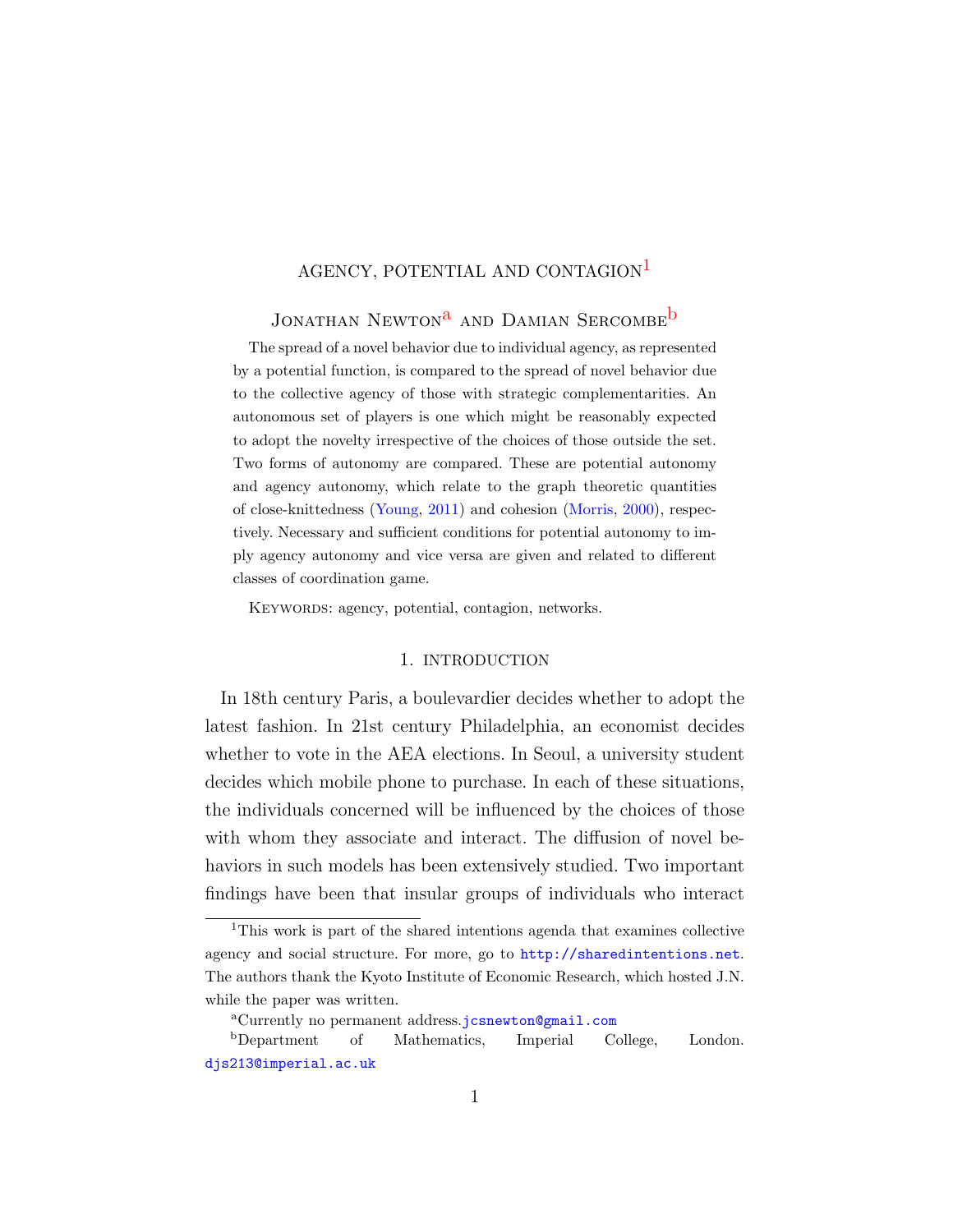# AGENCY, POTENTIAL AND CONTAGION<sup>[1](#page-0-0)</sup>

# JONATHAN NEWTON<sup>[a](#page-0-1)</sup> AND DAMIAN SERCOMBE<sup>D</sup>

The spread of a novel behavior due to individual agency, as represented by a potential function, is compared to the spread of novel behavior due to the collective agency of those with strategic complementarities. An autonomous set of players is one which might be reasonably expected to adopt the novelty irrespective of the choices of those outside the set. Two forms of autonomy are compared. These are potential autonomy and agency autonomy, which relate to the graph theoretic quantities of close-knittedness [\(Young,](#page-35-0) [2011\)](#page-35-0) and cohesion [\(Morris,](#page-35-1) [2000\)](#page-35-1), respectively. Necessary and sufficient conditions for potential autonomy to imply agency autonomy and vice versa are given and related to different classes of coordination game.

KEYWORDS: agency, potential, contagion, networks.

### 1. INTRODUCTION

In 18th century Paris, a boulevardier decides whether to adopt the latest fashion. In 21st century Philadelphia, an economist decides whether to vote in the AEA elections. In Seoul, a university student decides which mobile phone to purchase. In each of these situations, the individuals concerned will be influenced by the choices of those with whom they associate and interact. The diffusion of novel behaviors in such models has been extensively studied. Two important findings have been that insular groups of individuals who interact

<span id="page-0-0"></span><sup>1</sup>This work is part of the shared intentions agenda that examines collective agency and social structure. For more, go to <http://sharedintentions.net>. The authors thank the Kyoto Institute of Economic Research, which hosted J.N. while the paper was written.

<span id="page-0-2"></span><span id="page-0-1"></span><sup>a</sup>Currently no permanent address.[jcsnewton@gmail.com](mailto:jcsnewton@gmail.com)

<sup>b</sup>Department of Mathematics, Imperial College, London. [djs213@imperial.ac.uk](mailto:djs213@imperial.ac.uk)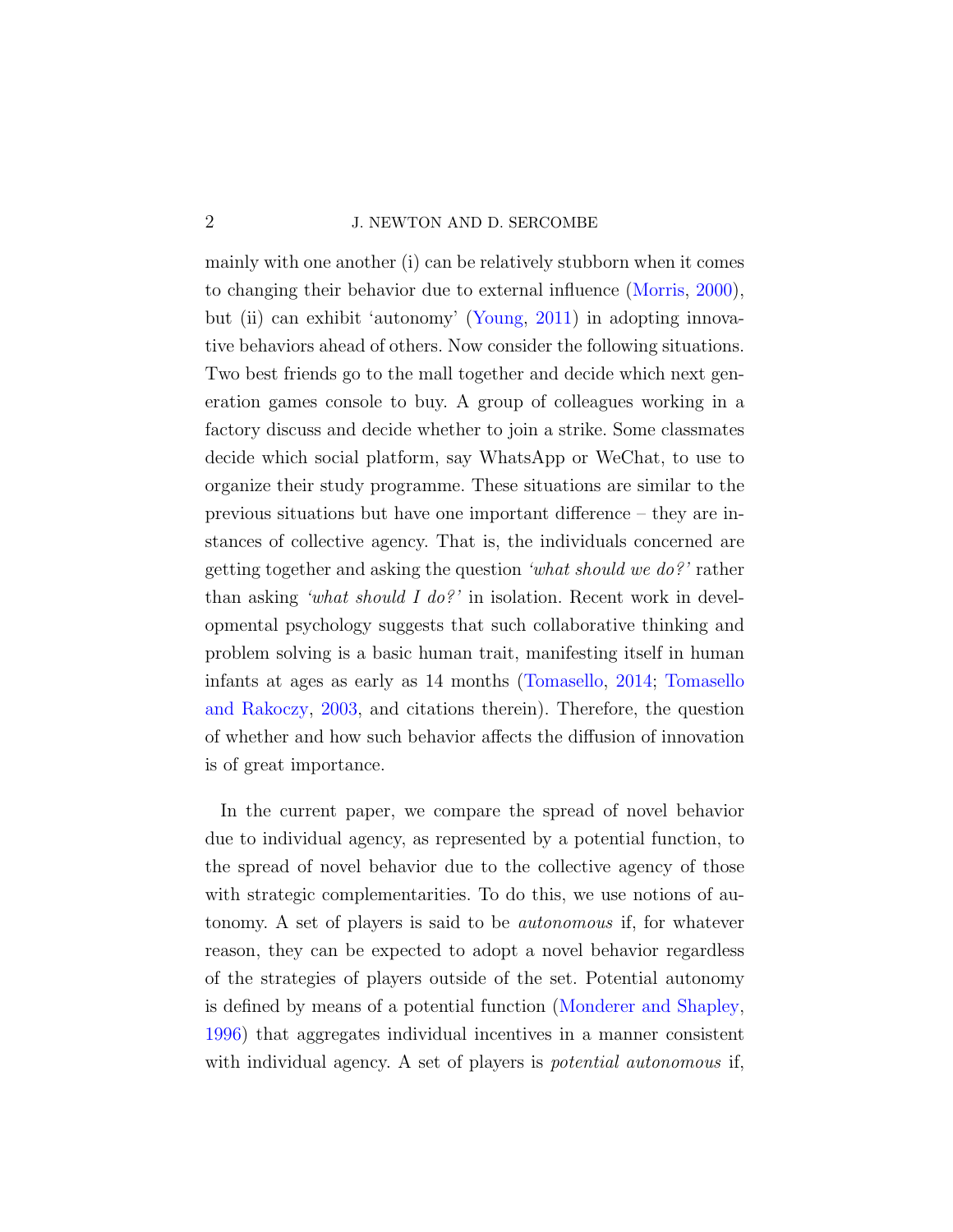## 2 J. NEWTON AND D. SERCOMBE

mainly with one another (i) can be relatively stubborn when it comes to changing their behavior due to external influence [\(Morris,](#page-35-1) [2000\)](#page-35-1), but (ii) can exhibit 'autonomy' [\(Young,](#page-35-0) [2011\)](#page-35-0) in adopting innovative behaviors ahead of others. Now consider the following situations. Two best friends go to the mall together and decide which next generation games console to buy. A group of colleagues working in a factory discuss and decide whether to join a strike. Some classmates decide which social platform, say WhatsApp or WeChat, to use to organize their study programme. These situations are similar to the previous situations but have one important difference – they are instances of collective agency. That is, the individuals concerned are getting together and asking the question 'what should we do?' rather than asking 'what should I do?' in isolation. Recent work in developmental psychology suggests that such collaborative thinking and problem solving is a basic human trait, manifesting itself in human infants at ages as early as 14 months [\(Tomasello,](#page-35-2) [2014;](#page-35-2) [Tomasello](#page-35-3) [and Rakoczy,](#page-35-3) [2003,](#page-35-3) and citations therein). Therefore, the question of whether and how such behavior affects the diffusion of innovation is of great importance.

In the current paper, we compare the spread of novel behavior due to individual agency, as represented by a potential function, to the spread of novel behavior due to the collective agency of those with strategic complementarities. To do this, we use notions of autonomy. A set of players is said to be autonomous if, for whatever reason, they can be expected to adopt a novel behavior regardless of the strategies of players outside of the set. Potential autonomy is defined by means of a potential function [\(Monderer and Shapley,](#page-35-4) [1996\)](#page-35-4) that aggregates individual incentives in a manner consistent with individual agency. A set of players is *potential autonomous* if,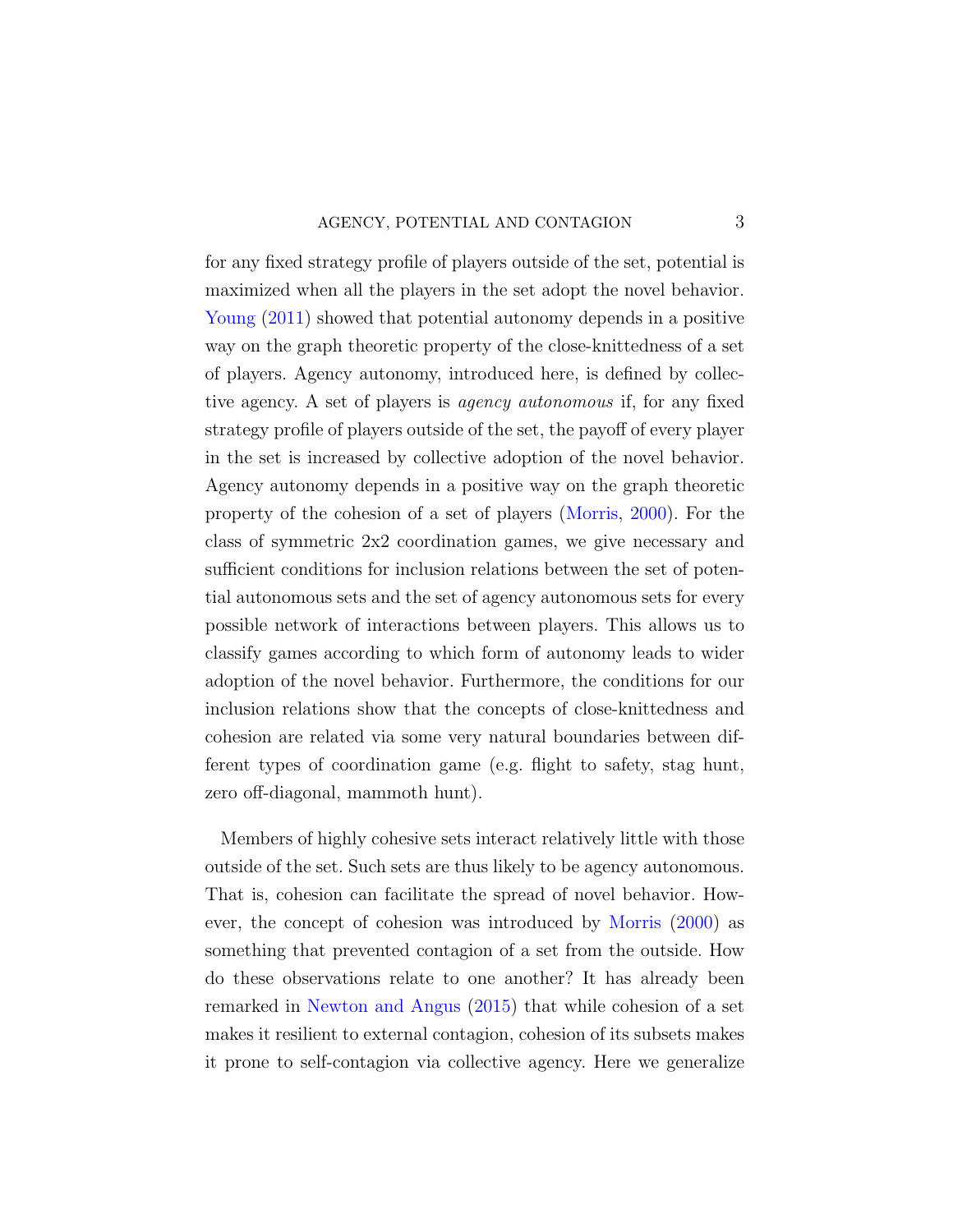### AGENCY, POTENTIAL AND CONTAGION 3

for any fixed strategy profile of players outside of the set, potential is maximized when all the players in the set adopt the novel behavior. [Young](#page-35-0) [\(2011\)](#page-35-0) showed that potential autonomy depends in a positive way on the graph theoretic property of the close-knittedness of a set of players. Agency autonomy, introduced here, is defined by collective agency. A set of players is agency autonomous if, for any fixed strategy profile of players outside of the set, the payoff of every player in the set is increased by collective adoption of the novel behavior. Agency autonomy depends in a positive way on the graph theoretic property of the cohesion of a set of players [\(Morris,](#page-35-1) [2000\)](#page-35-1). For the class of symmetric 2x2 coordination games, we give necessary and sufficient conditions for inclusion relations between the set of potential autonomous sets and the set of agency autonomous sets for every possible network of interactions between players. This allows us to classify games according to which form of autonomy leads to wider adoption of the novel behavior. Furthermore, the conditions for our inclusion relations show that the concepts of close-knittedness and cohesion are related via some very natural boundaries between different types of coordination game (e.g. flight to safety, stag hunt, zero off-diagonal, mammoth hunt).

Members of highly cohesive sets interact relatively little with those outside of the set. Such sets are thus likely to be agency autonomous. That is, cohesion can facilitate the spread of novel behavior. However, the concept of cohesion was introduced by [Morris](#page-35-1) [\(2000\)](#page-35-1) as something that prevented contagion of a set from the outside. How do these observations relate to one another? It has already been remarked in [Newton and Angus](#page-35-5) [\(2015\)](#page-35-5) that while cohesion of a set makes it resilient to external contagion, cohesion of its subsets makes it prone to self-contagion via collective agency. Here we generalize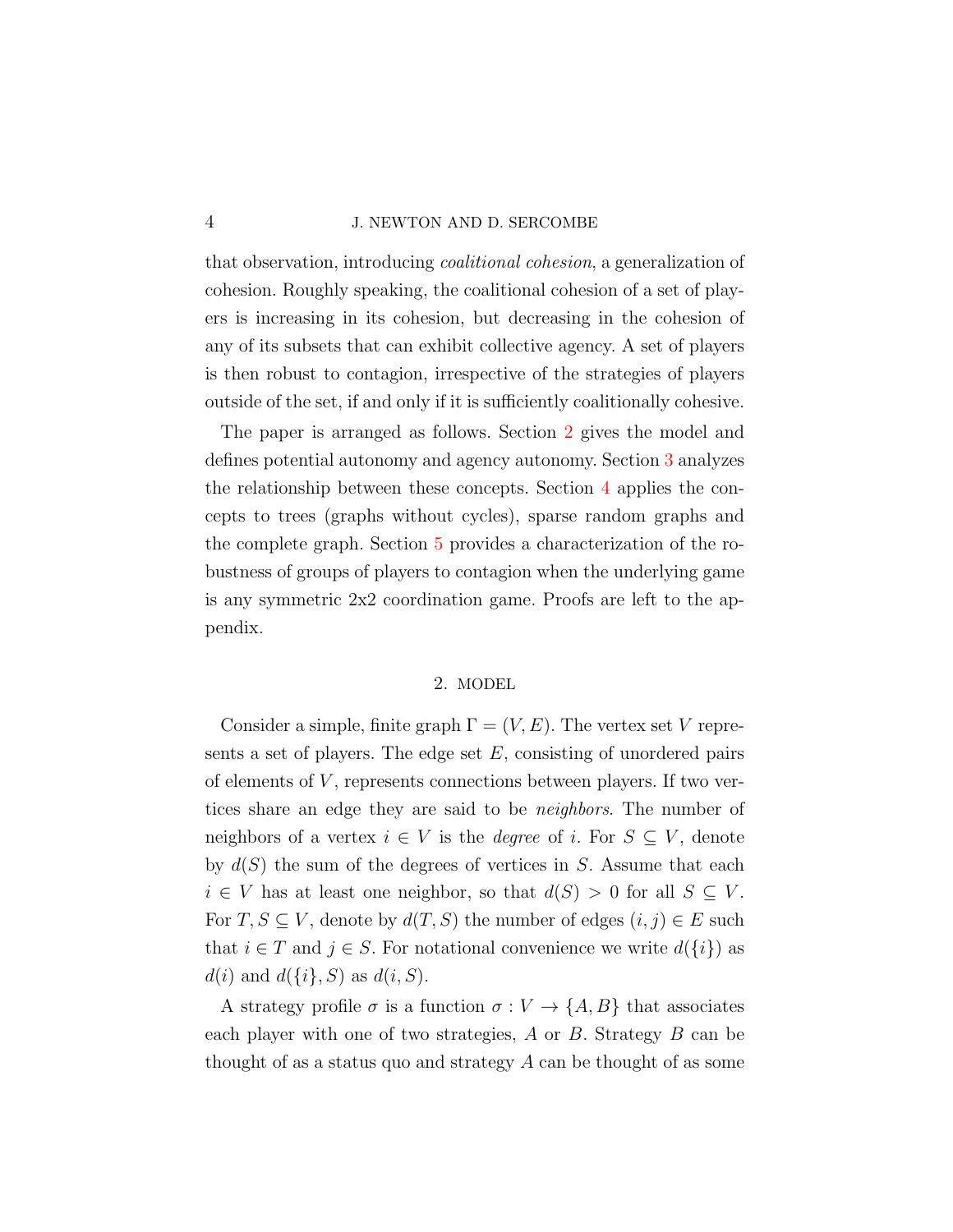#### 4 J. NEWTON AND D. SERCOMBE

that observation, introducing coalitional cohesion, a generalization of cohesion. Roughly speaking, the coalitional cohesion of a set of players is increasing in its cohesion, but decreasing in the cohesion of any of its subsets that can exhibit collective agency. A set of players is then robust to contagion, irrespective of the strategies of players outside of the set, if and only if it is sufficiently coalitionally cohesive.

The paper is arranged as follows. Section [2](#page-3-0) gives the model and defines potential autonomy and agency autonomy. Section [3](#page-10-0) analyzes the relationship between these concepts. Section [4](#page-16-0) applies the concepts to trees (graphs without cycles), sparse random graphs and the complete graph. Section [5](#page-21-0) provides a characterization of the robustness of groups of players to contagion when the underlying game is any symmetric 2x2 coordination game. Proofs are left to the appendix.

### 2. MODEL

<span id="page-3-0"></span>Consider a simple, finite graph  $\Gamma = (V, E)$ . The vertex set V represents a set of players. The edge set  $E$ , consisting of unordered pairs of elements of  $V$ , represents connections between players. If two vertices share an edge they are said to be neighbors. The number of neighbors of a vertex  $i \in V$  is the *degree* of i. For  $S \subseteq V$ , denote by  $d(S)$  the sum of the degrees of vertices in S. Assume that each  $i \in V$  has at least one neighbor, so that  $d(S) > 0$  for all  $S \subseteq V$ . For  $T, S \subseteq V$ , denote by  $d(T, S)$  the number of edges  $(i, j) \in E$  such that  $i \in T$  and  $j \in S$ . For notational convenience we write  $d({i})$  as  $d(i)$  and  $d({i}, S)$  as  $d(i, S)$ .

A strategy profile  $\sigma$  is a function  $\sigma: V \to \{A, B\}$  that associates each player with one of two strategies, A or B. Strategy B can be thought of as a status quo and strategy A can be thought of as some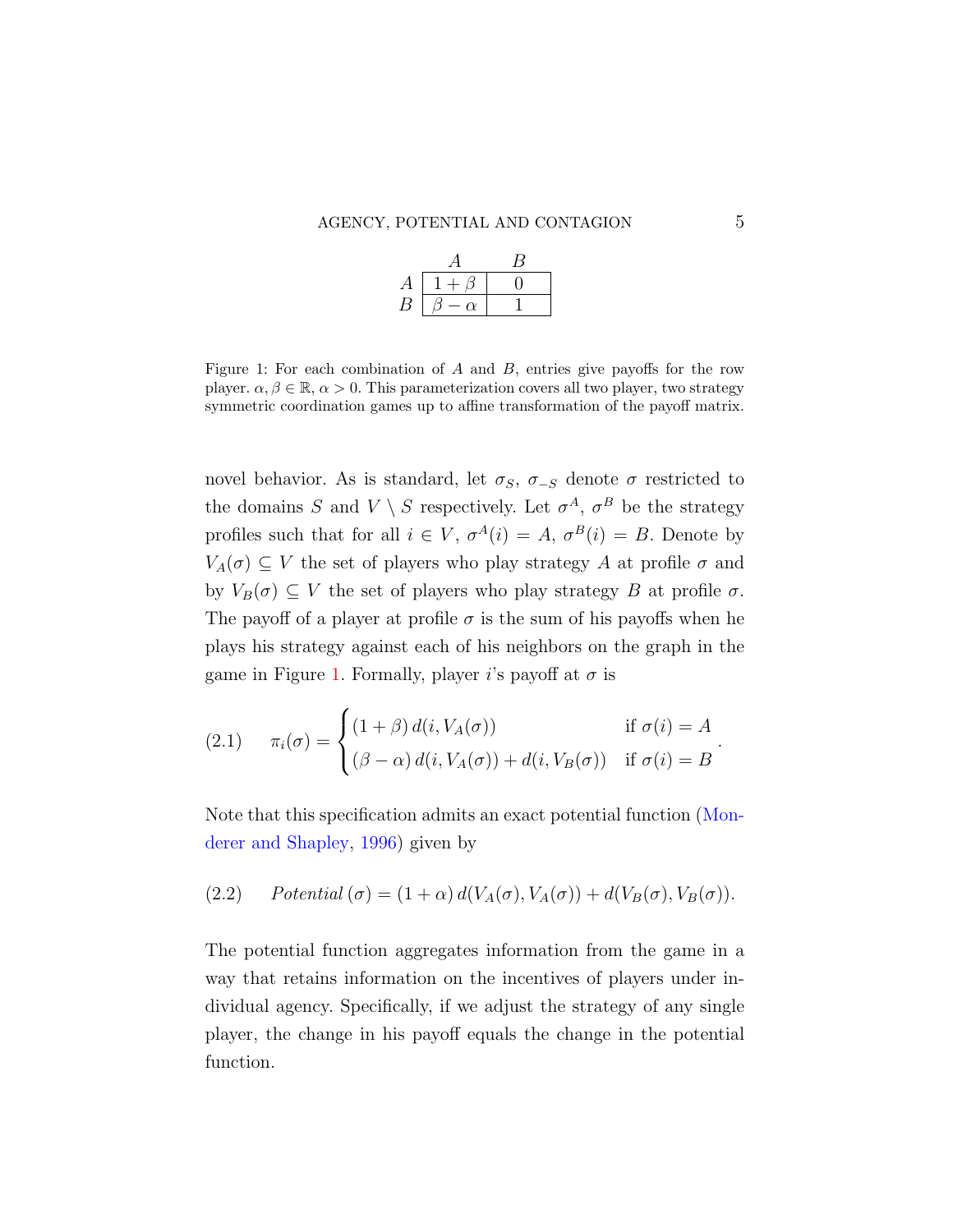| А |     |  |
|---|-----|--|
| В | ٠γ. |  |

<span id="page-4-0"></span>Figure 1: For each combination of A and B, entries give payoffs for the row player.  $\alpha, \beta \in \mathbb{R}, \alpha > 0$ . This parameterization covers all two player, two strategy symmetric coordination games up to affine transformation of the payoff matrix.

novel behavior. As is standard, let  $\sigma_S$ ,  $\sigma_{-S}$  denote  $\sigma$  restricted to the domains S and  $V \setminus S$  respectively. Let  $\sigma^A$ ,  $\sigma^B$  be the strategy profiles such that for all  $i \in V$ ,  $\sigma^{A}(i) = A$ ,  $\sigma^{B}(i) = B$ . Denote by  $V_A(\sigma) \subseteq V$  the set of players who play strategy A at profile  $\sigma$  and by  $V_B(\sigma) \subseteq V$  the set of players who play strategy B at profile  $\sigma$ . The payoff of a player at profile  $\sigma$  is the sum of his payoffs when he plays his strategy against each of his neighbors on the graph in the game in Figure [1.](#page-4-0) Formally, player i's payoff at  $\sigma$  is

<span id="page-4-2"></span>(2.1) 
$$
\pi_i(\sigma) = \begin{cases} (1+\beta) d(i, V_A(\sigma)) & \text{if } \sigma(i) = A \\ (\beta - \alpha) d(i, V_A(\sigma)) + d(i, V_B(\sigma)) & \text{if } \sigma(i) = B \end{cases}.
$$

<span id="page-4-1"></span>Note that this specification admits an exact potential function [\(Mon](#page-35-4)[derer and Shapley,](#page-35-4) [1996\)](#page-35-4) given by

(2.2) Potential 
$$
(\sigma) = (1 + \alpha) d(V_A(\sigma), V_A(\sigma)) + d(V_B(\sigma), V_B(\sigma)).
$$

The potential function aggregates information from the game in a way that retains information on the incentives of players under individual agency. Specifically, if we adjust the strategy of any single player, the change in his payoff equals the change in the potential function.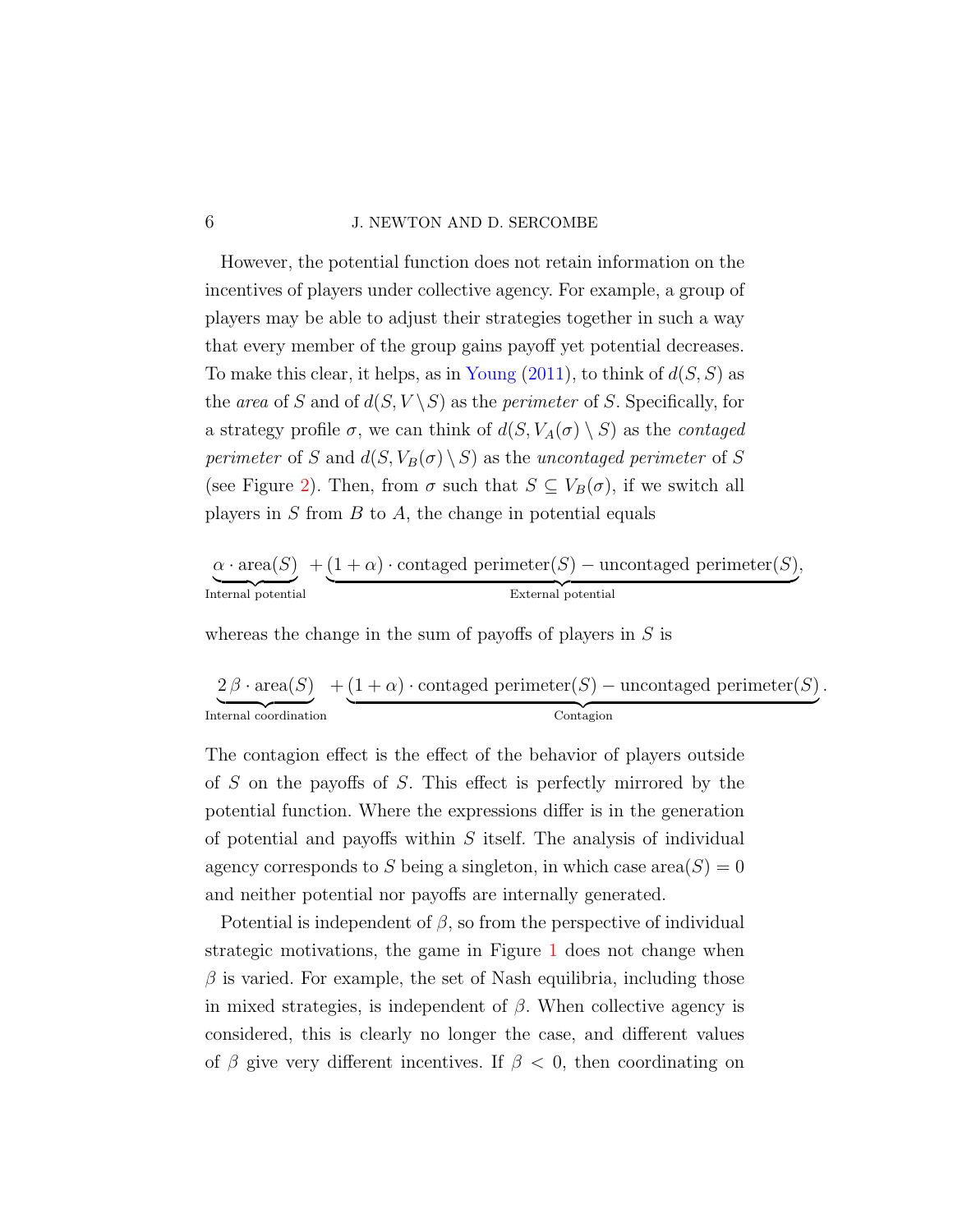### 6 J. NEWTON AND D. SERCOMBE

However, the potential function does not retain information on the incentives of players under collective agency. For example, a group of players may be able to adjust their strategies together in such a way that every member of the group gains payoff yet potential decreases. To make this clear, it helps, as in [Young](#page-35-0)  $(2011)$ , to think of  $d(S, S)$  as the area of S and of  $d(S, V \setminus S)$  as the *perimeter* of S. Specifically, for a strategy profile  $\sigma$ , we can think of  $d(S, V_A(\sigma) \setminus S)$  as the *contaged* perimeter of S and  $d(S, V_B(\sigma) \setminus S)$  as the uncontaged perimeter of S (see Figure [2\)](#page-6-0). Then, from  $\sigma$  such that  $S \subseteq V_B(\sigma)$ , if we switch all players in  $S$  from  $B$  to  $A$ , the change in potential equals

$$
\underbrace{\alpha \cdot \text{area}(S)}_{\text{Internal potential}} + \underbrace{(1+\alpha) \cdot \text{contained perimeter}(S) - \text{uncontaged perimeter}(S),}_{\text{External potential}},
$$

whereas the change in the sum of payoffs of players in  $S$  is

$$
\underbrace{2\,\beta\cdot\mathrm{area}(S)}_\text{Internal coordination} + \underbrace{(1+\alpha)\cdot\mathrm{contaged\ perimeter}(S)-\mathrm{uncontaged\ perimeter}(S)}_\text{Contagion}.
$$

The contagion effect is the effect of the behavior of players outside of S on the payoffs of S. This effect is perfectly mirrored by the potential function. Where the expressions differ is in the generation of potential and payoffs within  $S$  itself. The analysis of individual agency corresponds to S being a singleton, in which case area $(S) = 0$ and neither potential nor payoffs are internally generated.

Potential is independent of  $\beta$ , so from the perspective of individual strategic motivations, the game in Figure [1](#page-4-0) does not change when  $\beta$  is varied. For example, the set of Nash equilibria, including those in mixed strategies, is independent of  $\beta$ . When collective agency is considered, this is clearly no longer the case, and different values of  $\beta$  give very different incentives. If  $\beta < 0$ , then coordinating on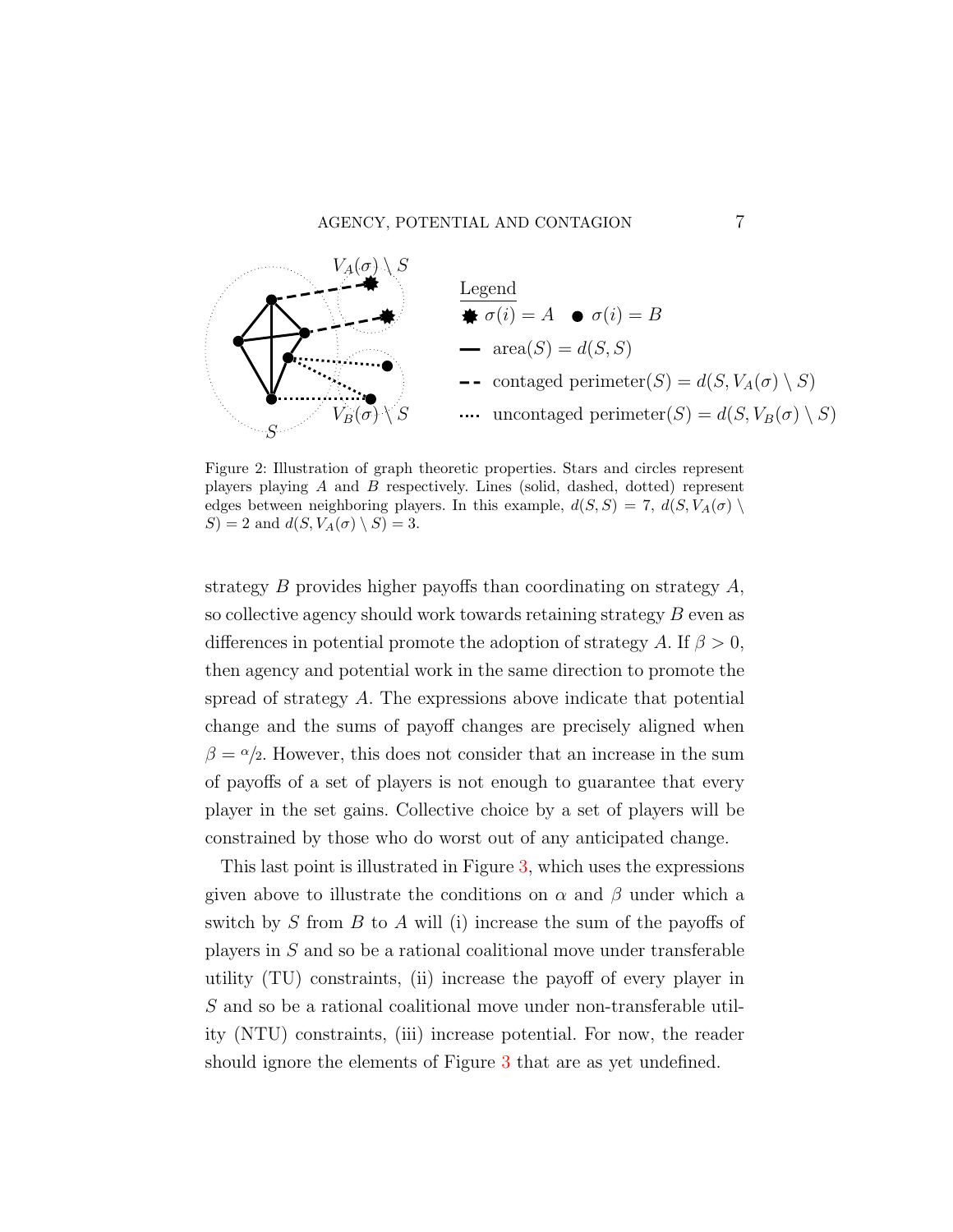<span id="page-6-0"></span>

Figure 2: Illustration of graph theoretic properties. Stars and circles represent players playing A and B respectively. Lines (solid, dashed, dotted) represent edges between neighboring players. In this example,  $d(S, S) = 7$ ,  $d(S, V_A(\sigma))$  $S$ ) = 2 and  $d(S, V_A(\sigma) \setminus S) = 3$ .

strategy B provides higher payoffs than coordinating on strategy A, so collective agency should work towards retaining strategy B even as differences in potential promote the adoption of strategy A. If  $\beta > 0$ , then agency and potential work in the same direction to promote the spread of strategy A. The expressions above indicate that potential change and the sums of payoff changes are precisely aligned when  $\beta = \alpha/2$ . However, this does not consider that an increase in the sum of payoffs of a set of players is not enough to guarantee that every player in the set gains. Collective choice by a set of players will be constrained by those who do worst out of any anticipated change.

This last point is illustrated in Figure [3,](#page-7-0) which uses the expressions given above to illustrate the conditions on  $\alpha$  and  $\beta$  under which a switch by S from B to A will (i) increase the sum of the payoffs of players in S and so be a rational coalitional move under transferable utility (TU) constraints, (ii) increase the payoff of every player in S and so be a rational coalitional move under non-transferable utility (NTU) constraints, (iii) increase potential. For now, the reader should ignore the elements of Figure [3](#page-7-0) that are as yet undefined.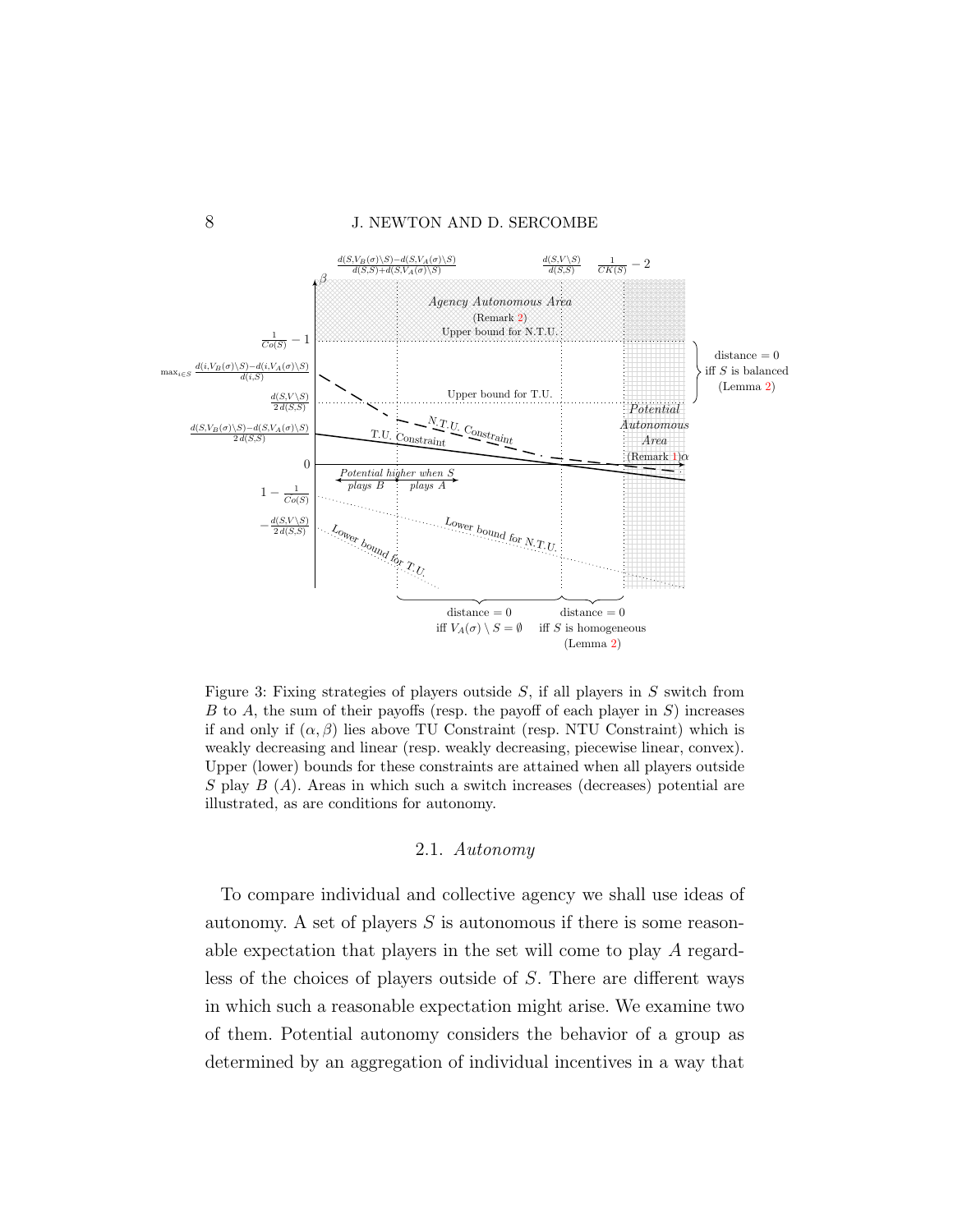<span id="page-7-0"></span>

Figure 3: Fixing strategies of players outside  $S$ , if all players in  $S$  switch from  $B$  to  $A$ , the sum of their payoffs (resp. the payoff of each player in  $S$ ) increases if and only if  $(\alpha, \beta)$  lies above TU Constraint (resp. NTU Constraint) which is weakly decreasing and linear (resp. weakly decreasing, piecewise linear, convex). Upper (lower) bounds for these constraints are attained when all players outside  $S$  play  $B(A)$ . Areas in which such a switch increases (decreases) potential are illustrated, as are conditions for autonomy.

#### 2.1. Autonomy

To compare individual and collective agency we shall use ideas of autonomy. A set of players  $S$  is autonomous if there is some reasonable expectation that players in the set will come to play A regardless of the choices of players outside of S. There are different ways in which such a reasonable expectation might arise. We examine two of them. Potential autonomy considers the behavior of a group as determined by an aggregation of individual incentives in a way that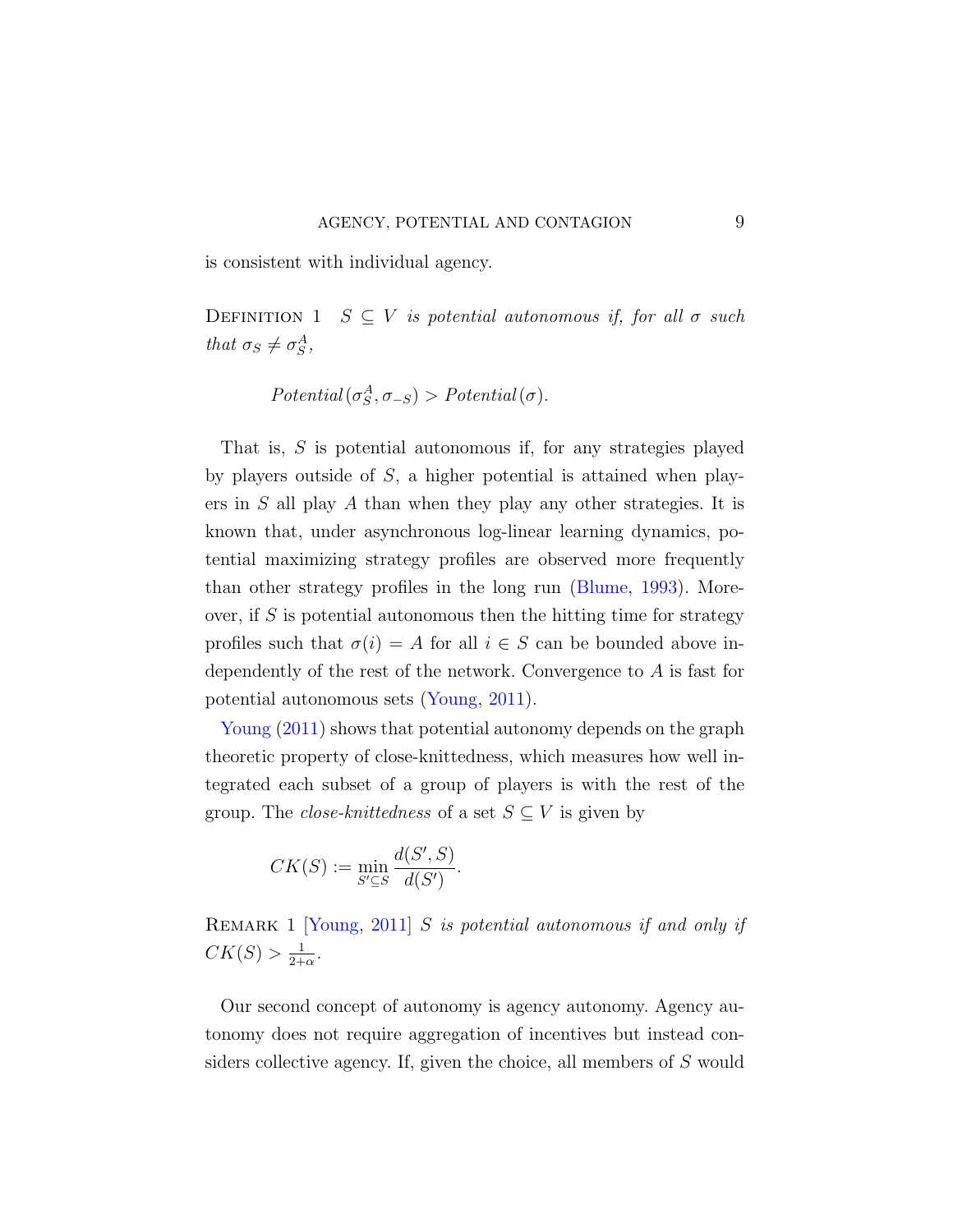is consistent with individual agency.

DEFINITION 1  $S \subseteq V$  is potential autonomous if, for all  $\sigma$  such that  $\sigma_S \neq \sigma_S^A$ ,

$$
Potential(\sigma_S^A, \sigma_{-S}) > Potential(\sigma).
$$

That is, S is potential autonomous if, for any strategies played by players outside of S, a higher potential is attained when players in S all play A than when they play any other strategies. It is known that, under asynchronous log-linear learning dynamics, potential maximizing strategy profiles are observed more frequently than other strategy profiles in the long run [\(Blume,](#page-35-6) [1993\)](#page-35-6). Moreover, if  $S$  is potential autonomous then the hitting time for strategy profiles such that  $\sigma(i) = A$  for all  $i \in S$  can be bounded above independently of the rest of the network. Convergence to A is fast for potential autonomous sets [\(Young,](#page-35-0) [2011\)](#page-35-0).

[Young](#page-35-0)  $(2011)$  shows that potential autonomy depends on the graph theoretic property of close-knittedness, which measures how well integrated each subset of a group of players is with the rest of the group. The *close-knittedness* of a set  $S \subseteq V$  is given by

$$
CK(S):=\min_{S'\subseteq S}\frac{d(S',S)}{d(S')}.
$$

<span id="page-8-0"></span>REMARK 1 [\[Young,](#page-35-0) [2011\]](#page-35-0) S is potential autonomous if and only if  $CK(S) > \frac{1}{2+1}$  $\frac{1}{2+\alpha}$ .

Our second concept of autonomy is agency autonomy. Agency autonomy does not require aggregation of incentives but instead considers collective agency. If, given the choice, all members of S would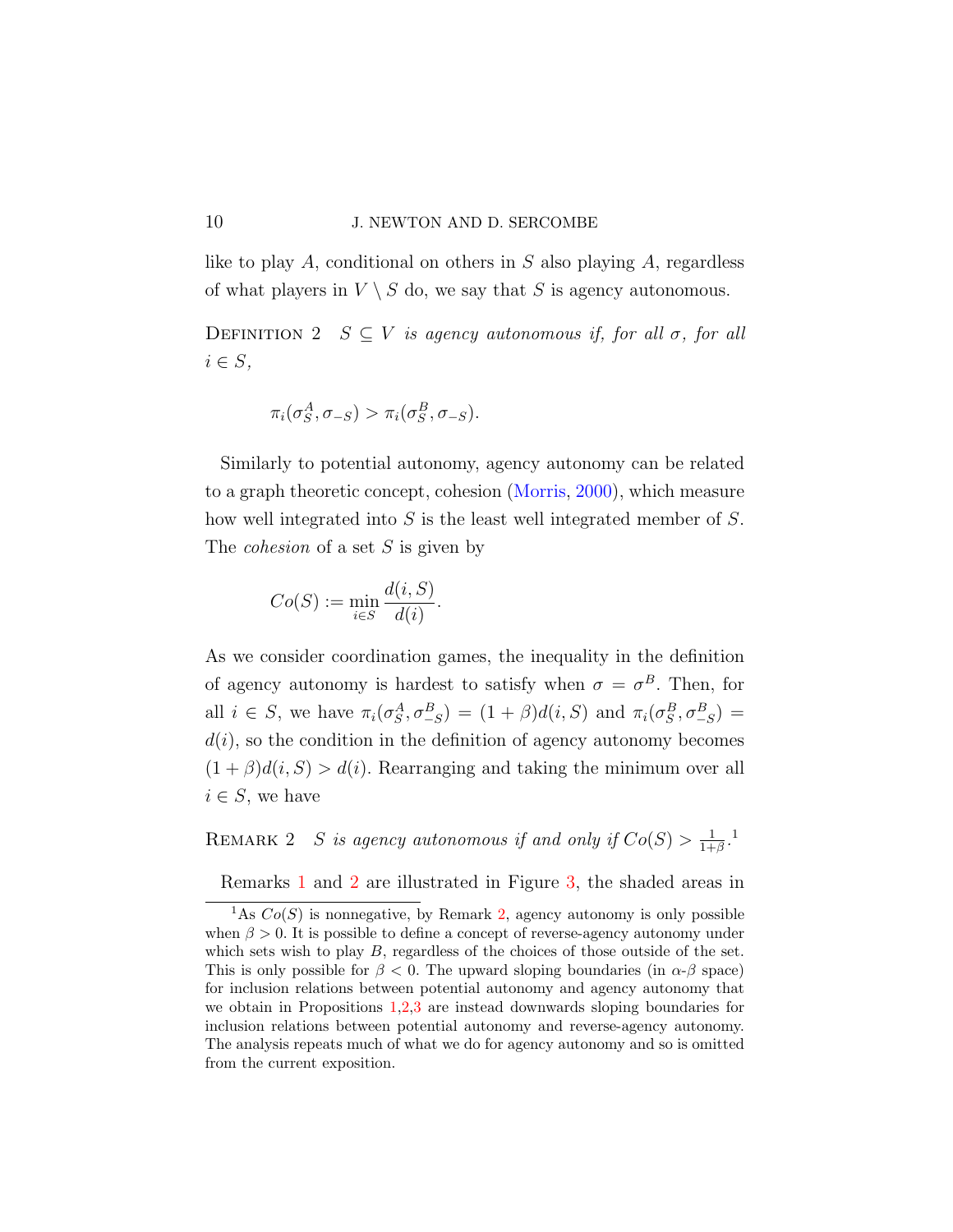like to play A, conditional on others in  $S$  also playing  $A$ , regardless of what players in  $V \setminus S$  do, we say that S is agency autonomous.

DEFINITION 2  $S \subseteq V$  is agency autonomous if, for all  $\sigma$ , for all  $i \in S$ ,

$$
\pi_i(\sigma_S^A, \sigma_{-S}) > \pi_i(\sigma_S^B, \sigma_{-S}).
$$

Similarly to potential autonomy, agency autonomy can be related to a graph theoretic concept, cohesion [\(Morris,](#page-35-1) [2000\)](#page-35-1), which measure how well integrated into S is the least well integrated member of S. The *cohesion* of a set  $S$  is given by

$$
Co(S) := \min_{i \in S} \frac{d(i, S)}{d(i)}.
$$

As we consider coordination games, the inequality in the definition of agency autonomy is hardest to satisfy when  $\sigma = \sigma^B$ . Then, for all  $i \in S$ , we have  $\pi_i(\sigma_S^A, \sigma_{-S}^B) = (1+\beta)d(i, S)$  and  $\pi_i(\sigma_S^B, \sigma_{-S}^B) =$  $d(i)$ , so the condition in the definition of agency autonomy becomes  $(1 + \beta)d(i, S) > d(i)$ . Rearranging and taking the minimum over all  $i \in S$ , we have

<span id="page-9-0"></span>REMARK 2 S is agency autonomous if and only if  $Co(S) > \frac{1}{1+}$  $\frac{1}{1+\beta}$ .<sup>1</sup>

Remarks [1](#page-8-0) and [2](#page-9-0) are illustrated in Figure [3,](#page-7-0) the shaded areas in

<sup>&</sup>lt;sup>1</sup>As  $Co(S)$  is nonnegative, by Remark [2,](#page-9-0) agency autonomy is only possible when  $\beta > 0$ . It is possible to define a concept of reverse-agency autonomy under which sets wish to play  $B$ , regardless of the choices of those outside of the set. This is only possible for  $\beta < 0$ . The upward sloping boundaries (in  $\alpha$ - $\beta$  space) for inclusion relations between potential autonomy and agency autonomy that we obtain in Propositions [1](#page-12-0)[,2,](#page-14-0)[3](#page-15-0) are instead downwards sloping boundaries for inclusion relations between potential autonomy and reverse-agency autonomy. The analysis repeats much of what we do for agency autonomy and so is omitted from the current exposition.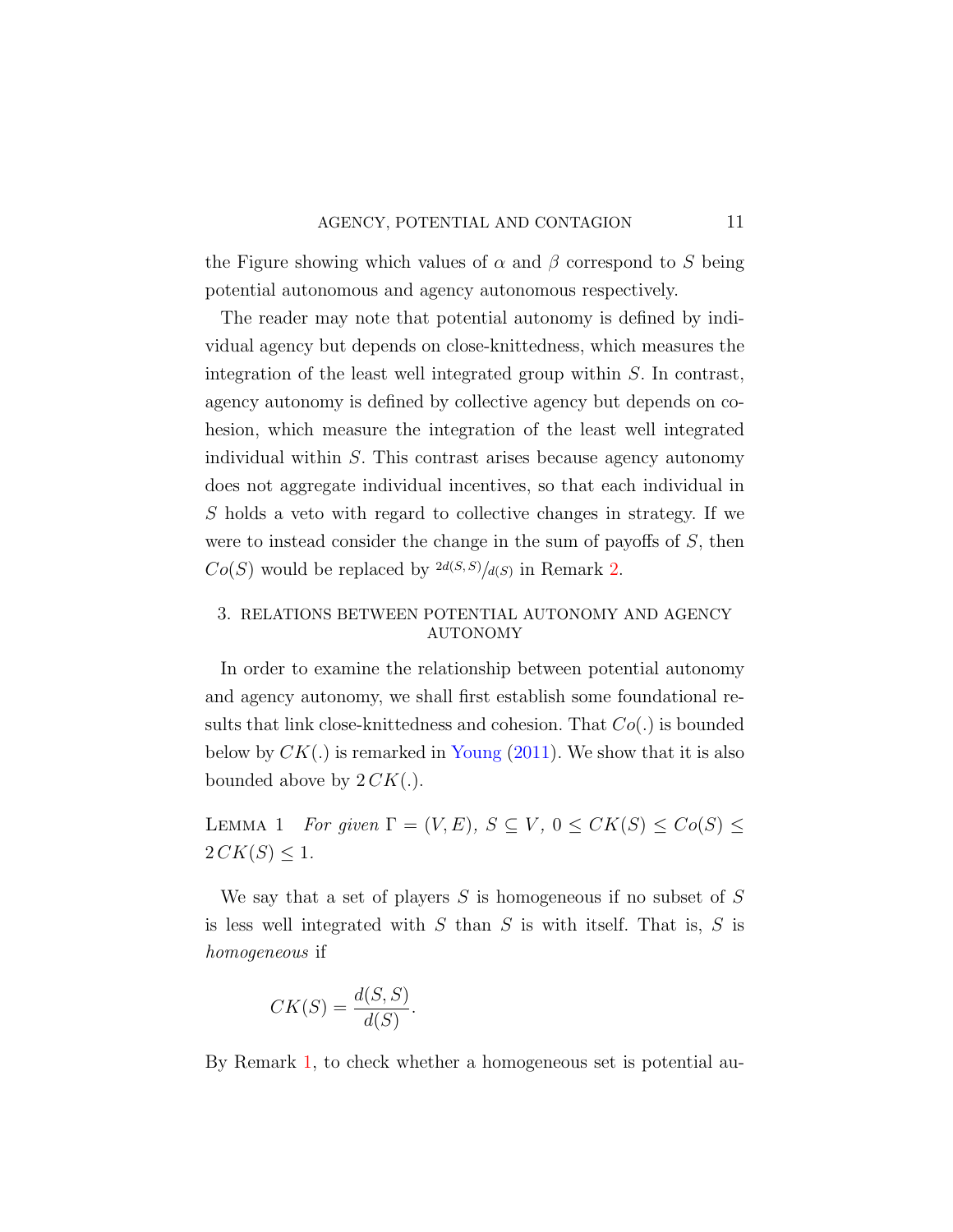the Figure showing which values of  $\alpha$  and  $\beta$  correspond to S being potential autonomous and agency autonomous respectively.

The reader may note that potential autonomy is defined by individual agency but depends on close-knittedness, which measures the integration of the least well integrated group within S. In contrast, agency autonomy is defined by collective agency but depends on cohesion, which measure the integration of the least well integrated individual within S. This contrast arises because agency autonomy does not aggregate individual incentives, so that each individual in S holds a veto with regard to collective changes in strategy. If we were to instead consider the change in the sum of payoffs of S, then  $Co(S)$  would be replaced by  $\frac{2d(S,S)}{d(S)}$  in Remark [2.](#page-9-0)

## <span id="page-10-0"></span>3. RELATIONS BETWEEN POTENTIAL AUTONOMY AND AGENCY AUTONOMY

In order to examine the relationship between potential autonomy and agency autonomy, we shall first establish some foundational results that link close-knittedness and cohesion. That  $Co(.)$  is bounded below by  $CK(.)$  is remarked in [Young](#page-35-0) [\(2011\)](#page-35-0). We show that it is also bounded above by  $2 C K(.)$ .

<span id="page-10-1"></span>LEMMA 1 For given  $\Gamma = (V, E), S \subseteq V, 0 \leq CK(S) \leq Co(S) \leq$  $2 C K(S) \leq 1.$ 

We say that a set of players  $S$  is homogeneous if no subset of  $S$ is less well integrated with  $S$  than  $S$  is with itself. That is,  $S$  is homogeneous if

$$
CK(S) = \frac{d(S, S)}{d(S)}.
$$

By Remark [1,](#page-8-0) to check whether a homogeneous set is potential au-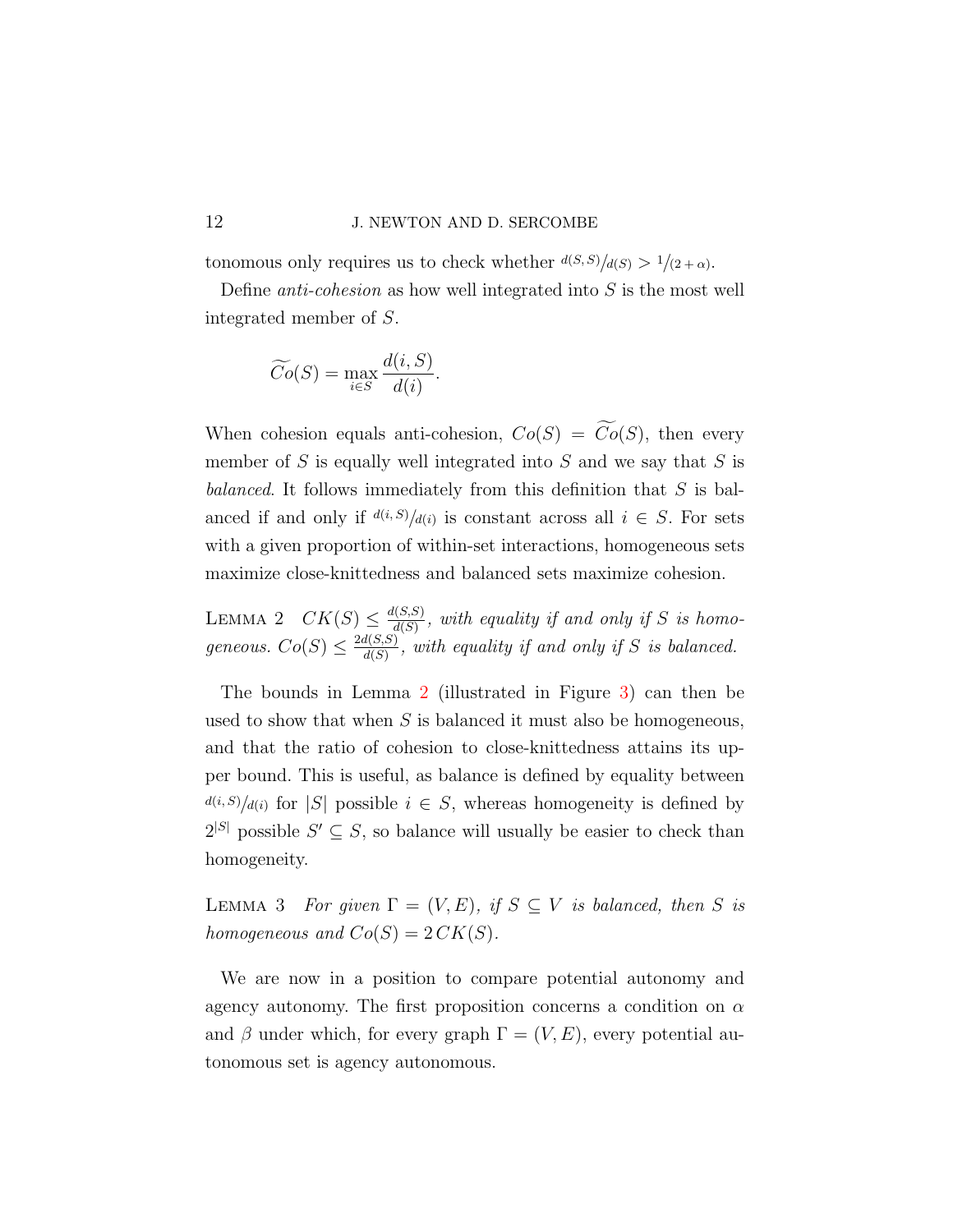### 12 J. NEWTON AND D. SERCOMBE

tonomous only requires us to check whether  $d(S, S)/d(S) > 1/(2+\alpha)$ .

Define *anti-cohesion* as how well integrated into  $S$  is the most well integrated member of S.

$$
\widetilde{Co}(S) = \max_{i \in S} \frac{d(i, S)}{d(i)}.
$$

When cohesion equals anti-cohesion,  $Co(S) = \widetilde{Co}(S)$ , then every member of  $S$  is equally well integrated into  $S$  and we say that  $S$  is balanced. It follows immediately from this definition that  $S$  is balanced if and only if  $d(i, S)/d(i)$  is constant across all  $i \in S$ . For sets with a given proportion of within-set interactions, homogeneous sets maximize close-knittedness and balanced sets maximize cohesion.

<span id="page-11-0"></span>LEMMA 2  $CK(S) \leq \frac{d(S,S)}{d(S)}$  $\frac{d(S,S)}{d(S)}$ , with equality if and only if S is homogeneous.  $Co(S) \leq \frac{2d(S,S)}{d(S)}$  $\frac{d(S,S)}{d(S)}$ , with equality if and only if S is balanced.

The bounds in Lemma [2](#page-11-0) (illustrated in Figure [3\)](#page-7-0) can then be used to show that when  $S$  is balanced it must also be homogeneous, and that the ratio of cohesion to close-knittedness attains its upper bound. This is useful, as balance is defined by equality between  $d(i, S)/d(i)$  for |S| possible  $i \in S$ , whereas homogeneity is defined by  $2^{|S|}$  possible  $S' \subseteq S$ , so balance will usually be easier to check than homogeneity.

<span id="page-11-1"></span>LEMMA 3 For given  $\Gamma = (V, E)$ , if  $S \subseteq V$  is balanced, then S is homogeneous and  $Co(S) = 2 C K(S)$ .

We are now in a position to compare potential autonomy and agency autonomy. The first proposition concerns a condition on  $\alpha$ and  $\beta$  under which, for every graph  $\Gamma = (V, E)$ , every potential autonomous set is agency autonomous.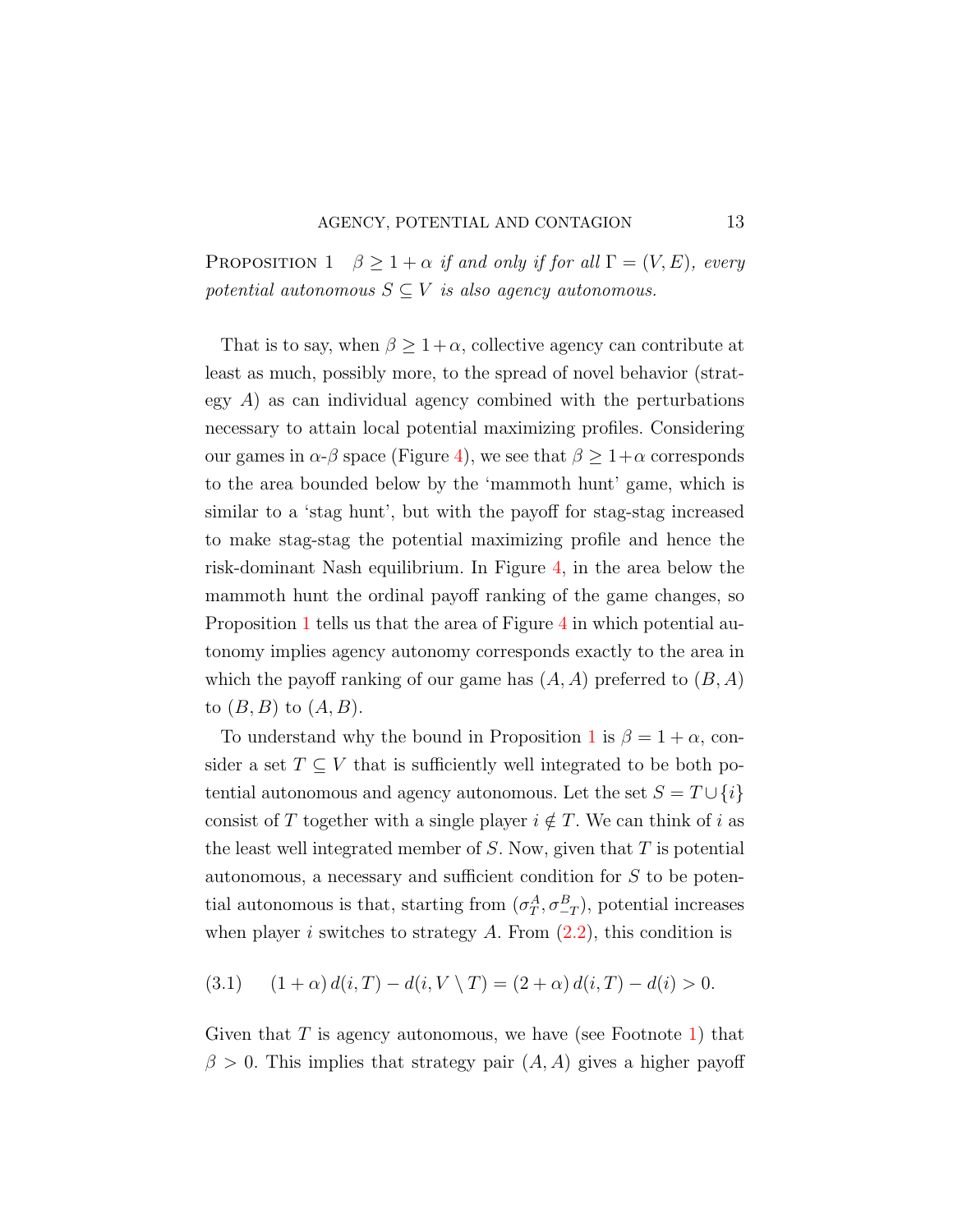<span id="page-12-0"></span>PROPOSITION 1  $\beta \geq 1 + \alpha$  if and only if for all  $\Gamma = (V, E)$ , every potential autonomous  $S \subseteq V$  is also agency autonomous.

That is to say, when  $\beta \geq 1 + \alpha$ , collective agency can contribute at least as much, possibly more, to the spread of novel behavior (strategy  $A$ ) as can individual agency combined with the perturbations necessary to attain local potential maximizing profiles. Considering our games in  $\alpha$ -β space (Figure [4\)](#page-13-0), we see that  $\beta \geq 1+\alpha$  corresponds to the area bounded below by the 'mammoth hunt' game, which is similar to a 'stag hunt', but with the payoff for stag-stag increased to make stag-stag the potential maximizing profile and hence the risk-dominant Nash equilibrium. In Figure [4,](#page-13-0) in the area below the mammoth hunt the ordinal payoff ranking of the game changes, so Proposition [1](#page-12-0) tells us that the area of Figure [4](#page-13-0) in which potential autonomy implies agency autonomy corresponds exactly to the area in which the payoff ranking of our game has  $(A, A)$  preferred to  $(B, A)$ to  $(B, B)$  to  $(A, B)$ .

To understand why the bound in Proposition [1](#page-12-0) is  $\beta = 1 + \alpha$ , consider a set  $T \subseteq V$  that is sufficiently well integrated to be both potential autonomous and agency autonomous. Let the set  $S = T \cup \{i\}$ consist of T together with a single player  $i \notin T$ . We can think of i as the least well integrated member of S. Now, given that  $T$  is potential autonomous, a necessary and sufficient condition for S to be potential autonomous is that, starting from  $(\sigma_T^A, \sigma_{-T}^B)$ , potential increases when player i switches to strategy  $A$ . From  $(2.2)$ , this condition is

<span id="page-12-1"></span>
$$
(3.1) \t(1+\alpha) d(i,T) - d(i, V \setminus T) = (2+\alpha) d(i,T) - d(i) > 0.
$$

Given that  $T$  is agency autonomous, we have (see Footnote [1\)](#page-9-0) that  $\beta > 0$ . This implies that strategy pair  $(A, A)$  gives a higher payoff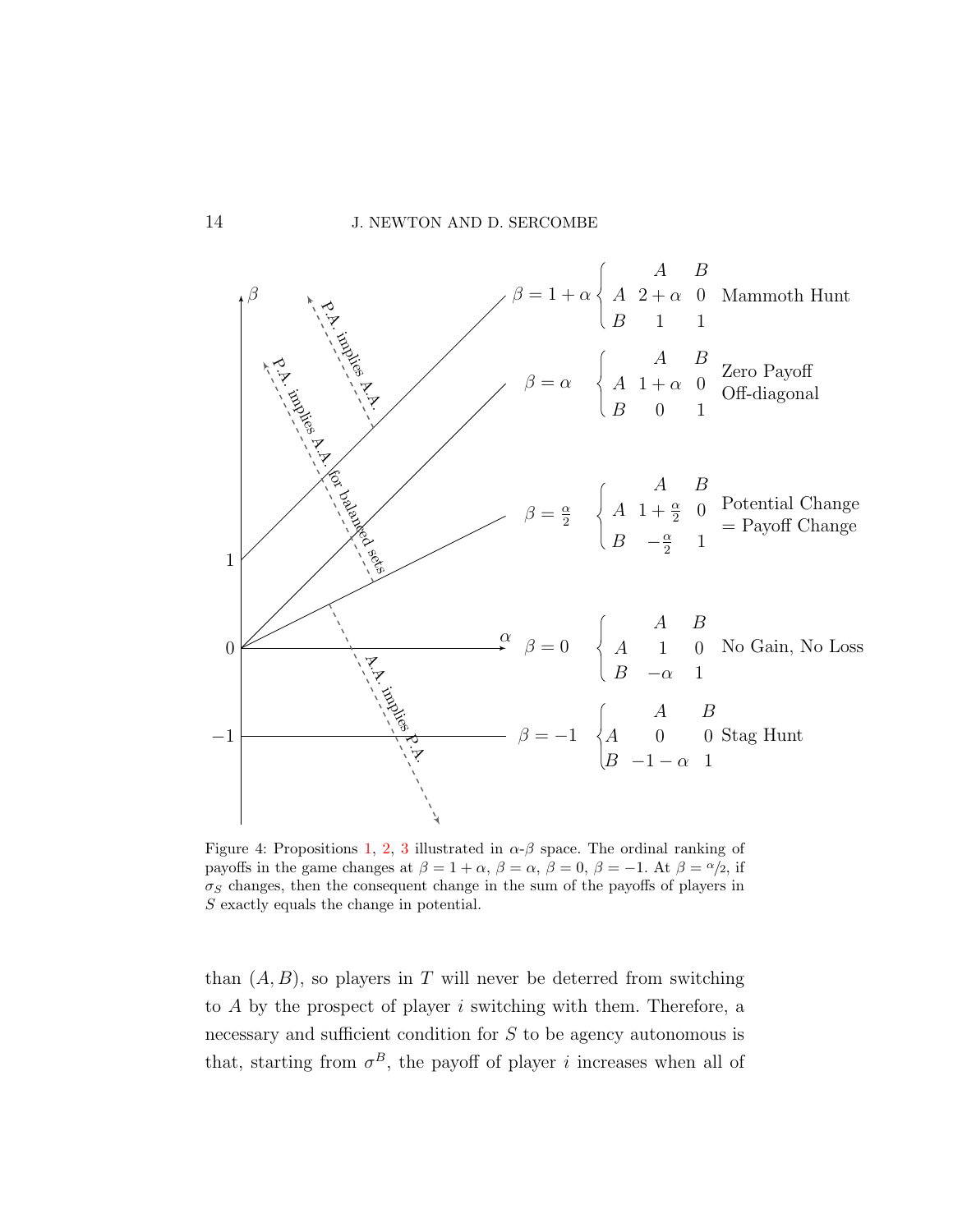<span id="page-13-0"></span>

Figure 4: Propositions [1,](#page-12-0) [2,](#page-14-0) [3](#page-15-0) illustrated in  $\alpha$ - $\beta$  space. The ordinal ranking of payoffs in the game changes at  $\beta = 1 + \alpha$ ,  $\beta = \alpha$ ,  $\beta = 0$ ,  $\beta = -1$ . At  $\beta = \alpha/2$ , if  $\sigma_S$  changes, then the consequent change in the sum of the payoffs of players in S exactly equals the change in potential.

than  $(A, B)$ , so players in T will never be deterred from switching to A by the prospect of player i switching with them. Therefore, a necessary and sufficient condition for S to be agency autonomous is that, starting from  $\sigma^B$ , the payoff of player *i* increases when all of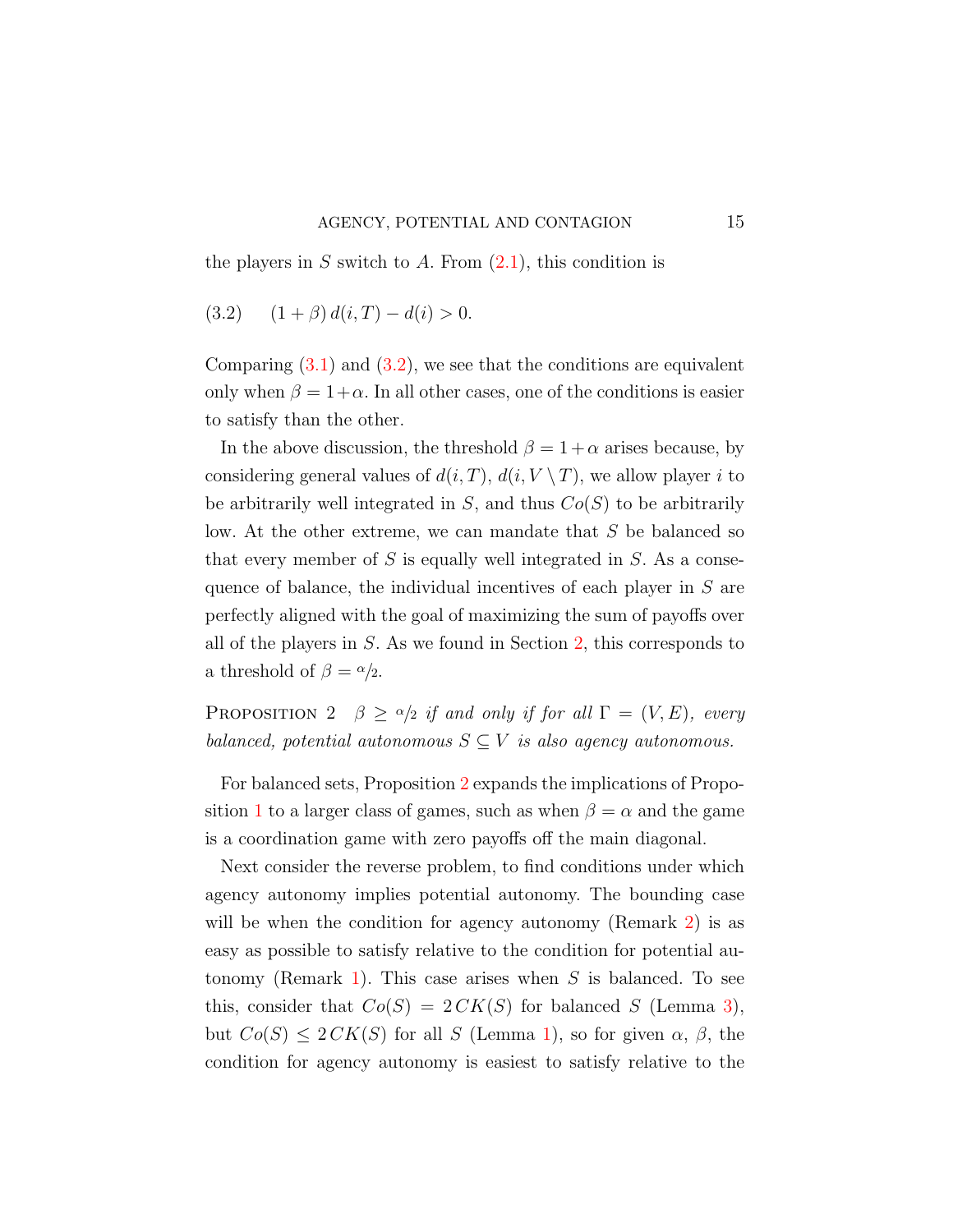<span id="page-14-1"></span>the players in S switch to A. From  $(2.1)$ , this condition is

$$
(3.2) \quad (1+\beta) \, d(i,T) - d(i) > 0.
$$

Comparing  $(3.1)$  and  $(3.2)$ , we see that the conditions are equivalent only when  $\beta = 1 + \alpha$ . In all other cases, one of the conditions is easier to satisfy than the other.

In the above discussion, the threshold  $\beta = 1 + \alpha$  arises because, by considering general values of  $d(i, T)$ ,  $d(i, V \setminus T)$ , we allow player i to be arbitrarily well integrated in  $S$ , and thus  $Co(S)$  to be arbitrarily low. At the other extreme, we can mandate that S be balanced so that every member of  $S$  is equally well integrated in  $S$ . As a consequence of balance, the individual incentives of each player in S are perfectly aligned with the goal of maximizing the sum of payoffs over all of the players in S. As we found in Section [2,](#page-3-0) this corresponds to a threshold of  $\beta = \alpha/2$ .

<span id="page-14-0"></span>PROPOSITION 2  $\beta \geq \alpha/2$  if and only if for all  $\Gamma = (V, E)$ , every balanced, potential autonomous  $S \subseteq V$  is also agency autonomous.

For balanced sets, Proposition [2](#page-14-0) expands the implications of Propo-sition [1](#page-12-0) to a larger class of games, such as when  $\beta = \alpha$  and the game is a coordination game with zero payoffs off the main diagonal.

Next consider the reverse problem, to find conditions under which agency autonomy implies potential autonomy. The bounding case will be when the condition for agency autonomy (Remark [2\)](#page-9-0) is as easy as possible to satisfy relative to the condition for potential au-tonomy (Remark [1\)](#page-8-0). This case arises when  $S$  is balanced. To see this, consider that  $Co(S) = 2 \, CK(S)$  for balanced S (Lemma [3\)](#page-11-1), but  $Co(S) \leq 2CK(S)$  for all S (Lemma [1\)](#page-10-1), so for given  $\alpha$ ,  $\beta$ , the condition for agency autonomy is easiest to satisfy relative to the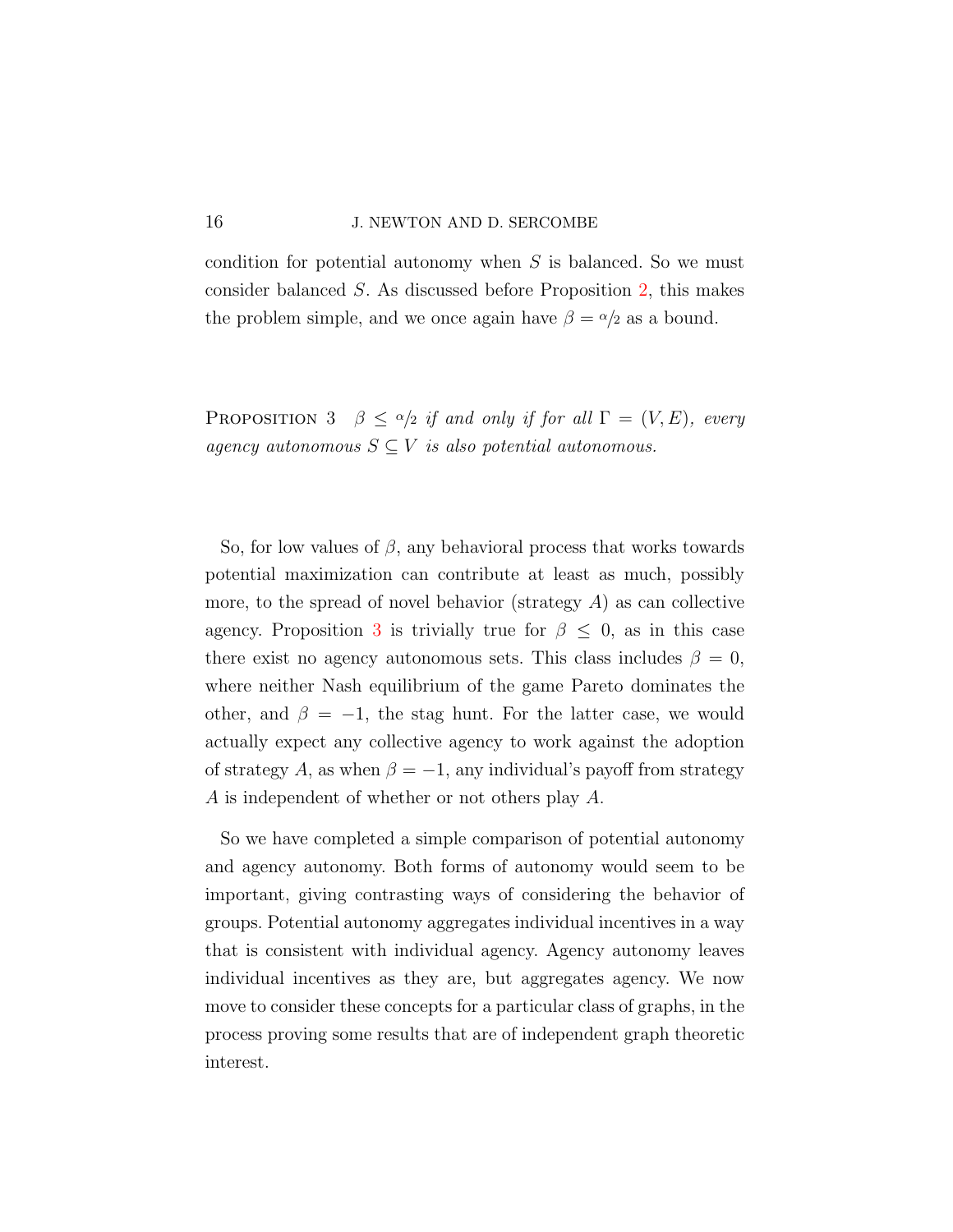condition for potential autonomy when S is balanced. So we must consider balanced S. As discussed before Proposition [2,](#page-14-0) this makes the problem simple, and we once again have  $\beta = \alpha/2$  as a bound.

<span id="page-15-0"></span>PROPOSITION 3  $\beta \leq \alpha/2$  if and only if for all  $\Gamma = (V, E)$ , every agency autonomous  $S \subseteq V$  is also potential autonomous.

So, for low values of  $\beta$ , any behavioral process that works towards potential maximization can contribute at least as much, possibly more, to the spread of novel behavior (strategy  $A$ ) as can collective agency. Proposition [3](#page-15-0) is trivially true for  $\beta \leq 0$ , as in this case there exist no agency autonomous sets. This class includes  $\beta = 0$ , where neither Nash equilibrium of the game Pareto dominates the other, and  $\beta = -1$ , the stag hunt. For the latter case, we would actually expect any collective agency to work against the adoption of strategy A, as when  $\beta = -1$ , any individual's payoff from strategy A is independent of whether or not others play A.

So we have completed a simple comparison of potential autonomy and agency autonomy. Both forms of autonomy would seem to be important, giving contrasting ways of considering the behavior of groups. Potential autonomy aggregates individual incentives in a way that is consistent with individual agency. Agency autonomy leaves individual incentives as they are, but aggregates agency. We now move to consider these concepts for a particular class of graphs, in the process proving some results that are of independent graph theoretic interest.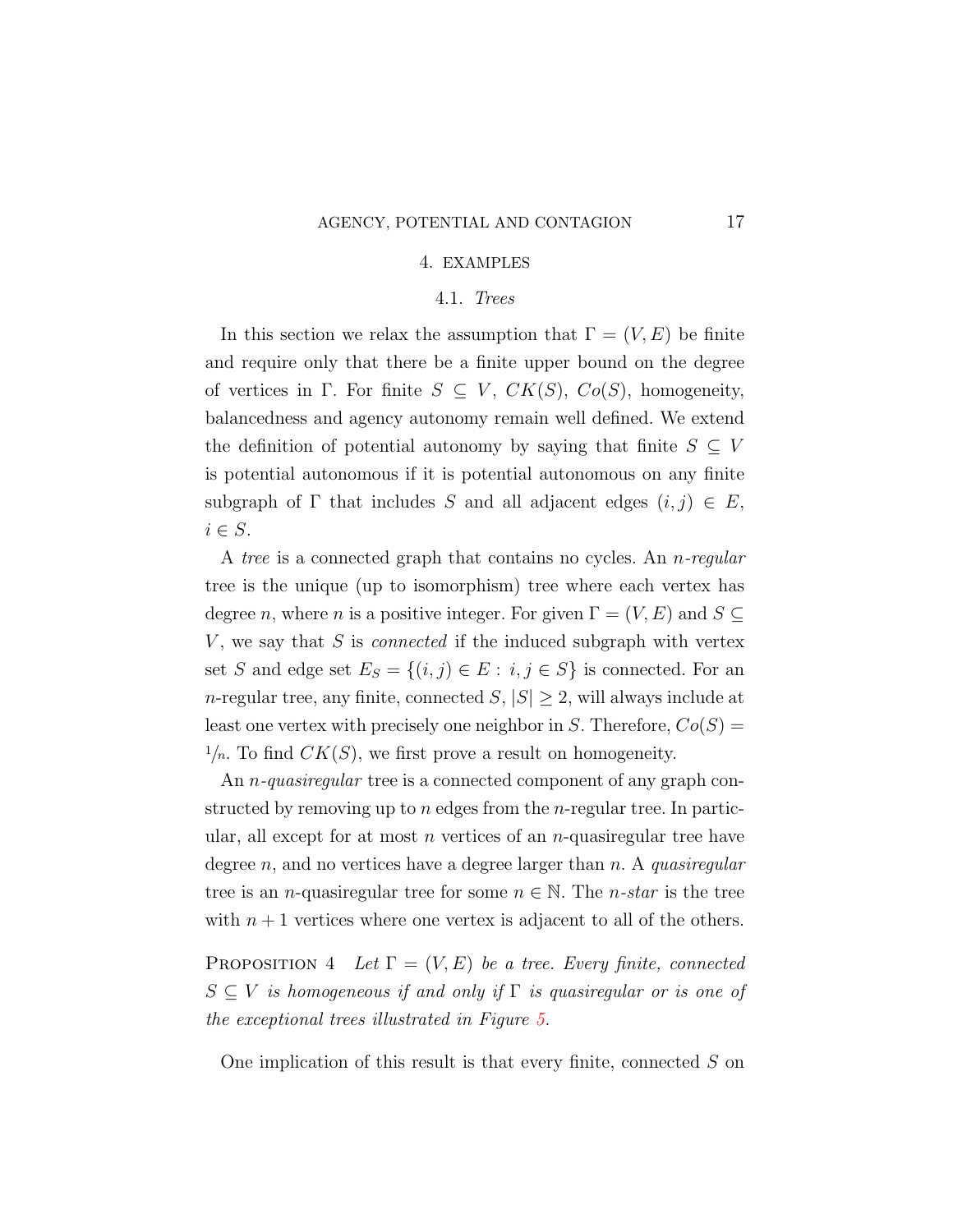#### 4. EXAMPLES

#### 4.1. Trees

<span id="page-16-0"></span>In this section we relax the assumption that  $\Gamma = (V, E)$  be finite and require only that there be a finite upper bound on the degree of vertices in Γ. For finite  $S \subseteq V$ ,  $CK(S)$ ,  $Co(S)$ , homogeneity, balancedness and agency autonomy remain well defined. We extend the definition of potential autonomy by saying that finite  $S \subseteq V$ is potential autonomous if it is potential autonomous on any finite subgraph of  $\Gamma$  that includes S and all adjacent edges  $(i, j) \in E$ ,  $i \in S.$ 

A tree is a connected graph that contains no cycles. An n-regular tree is the unique (up to isomorphism) tree where each vertex has degree n, where n is a positive integer. For given  $\Gamma = (V, E)$  and  $S \subseteq$  $V$ , we say that  $S$  is *connected* if the induced subgraph with vertex set S and edge set  $E_S = \{(i, j) \in E : i, j \in S\}$  is connected. For an n-regular tree, any finite, connected  $S, |S| \geq 2$ , will always include at least one vertex with precisely one neighbor in S. Therefore,  $Co(S)$  =  $1/n$ . To find  $CK(S)$ , we first prove a result on homogeneity.

An *n*-quasiregular tree is a connected component of any graph constructed by removing up to  $n$  edges from the  $n$ -regular tree. In particular, all except for at most  $n$  vertices of an  $n$ -quasiregular tree have degree n, and no vertices have a degree larger than  $n$ . A quasiregular tree is an *n*-quasiregular tree for some  $n \in \mathbb{N}$ . The *n*-star is the tree with  $n+1$  vertices where one vertex is adjacent to all of the others.

<span id="page-16-1"></span>PROPOSITION 4 Let  $\Gamma = (V, E)$  be a tree. Every finite, connected  $S \subseteq V$  is homogeneous if and only if  $\Gamma$  is quasiregular or is one of the exceptional trees illustrated in Figure [5.](#page-17-0)

One implication of this result is that every finite, connected S on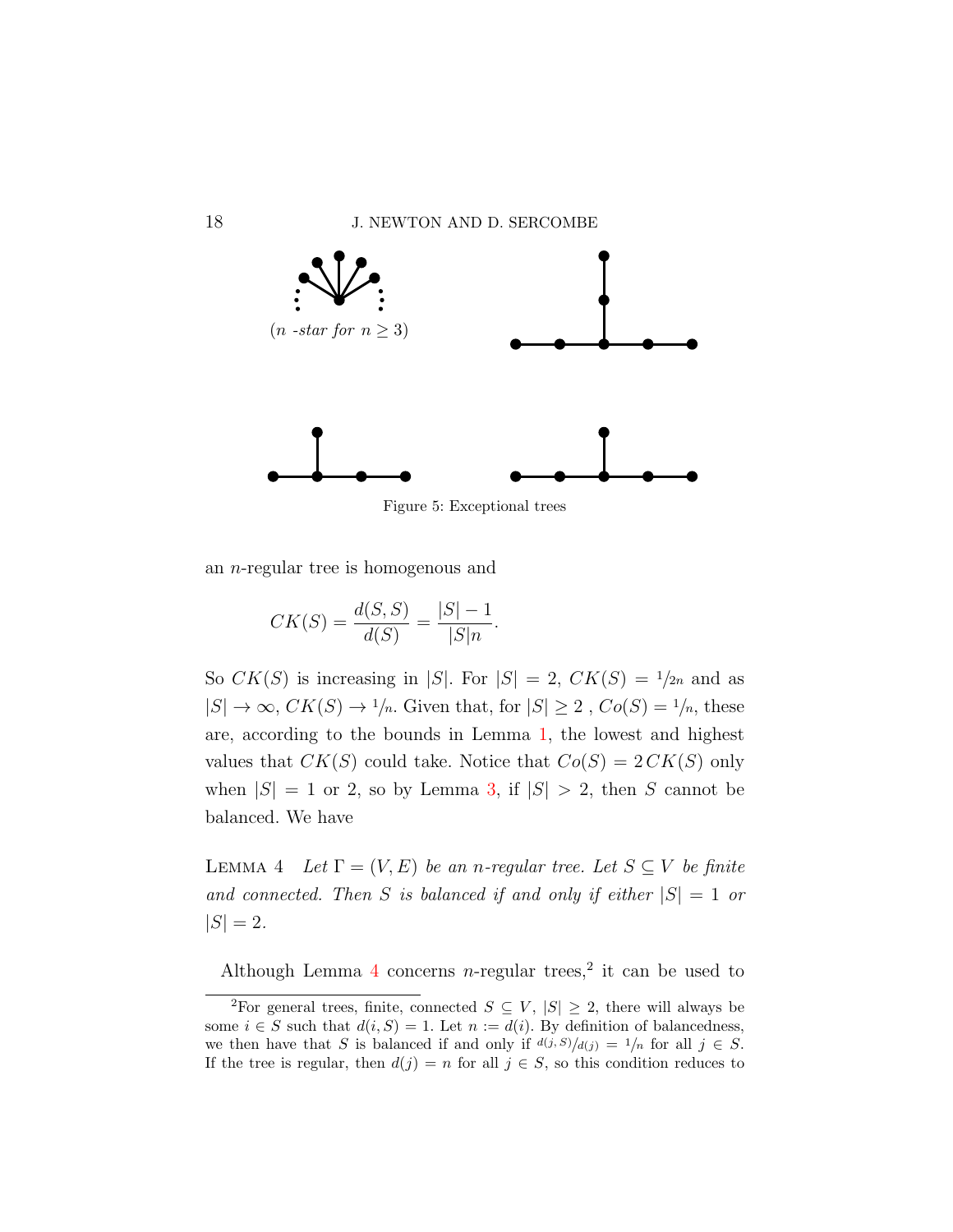<span id="page-17-0"></span>

Figure 5: Exceptional trees

an n-regular tree is homogenous and

 $CK(S) = \frac{d(S, S)}{l(S)}$  $d(S)$ =  $|S| - 1$  $|S|n$ .

So  $CK(S)$  is increasing in |S|. For  $|S| = 2$ ,  $CK(S) = \frac{1}{2n}$  and as  $|S| \to \infty$ ,  $CK(S) \to 1/n$ . Given that, for  $|S| \geq 2$ ,  $Co(S) = 1/n$ , these are, according to the bounds in Lemma [1,](#page-10-1) the lowest and highest values that  $CK(S)$  could take. Notice that  $Co(S) = 2 CK(S)$  only when  $|S| = 1$  or 2, so by Lemma [3,](#page-11-1) if  $|S| > 2$ , then S cannot be balanced. We have

<span id="page-17-1"></span>LEMMA 4 Let  $\Gamma = (V, E)$  be an n-regular tree. Let  $S \subseteq V$  be finite and connected. Then S is balanced if and only if either  $|S| = 1$  or  $|S| = 2.$ 

Although Lemma [4](#page-17-1) concerns *n*-regular trees,<sup>2</sup> it can be used to

<sup>&</sup>lt;sup>2</sup>For general trees, finite, connected  $S \subseteq V$ ,  $|S| \geq 2$ , there will always be some  $i \in S$  such that  $d(i, S) = 1$ . Let  $n := d(i)$ . By definition of balancedness, we then have that S is balanced if and only if  $d(j, S)/d(j) = 1/n$  for all  $j \in S$ . If the tree is regular, then  $d(j) = n$  for all  $j \in S$ , so this condition reduces to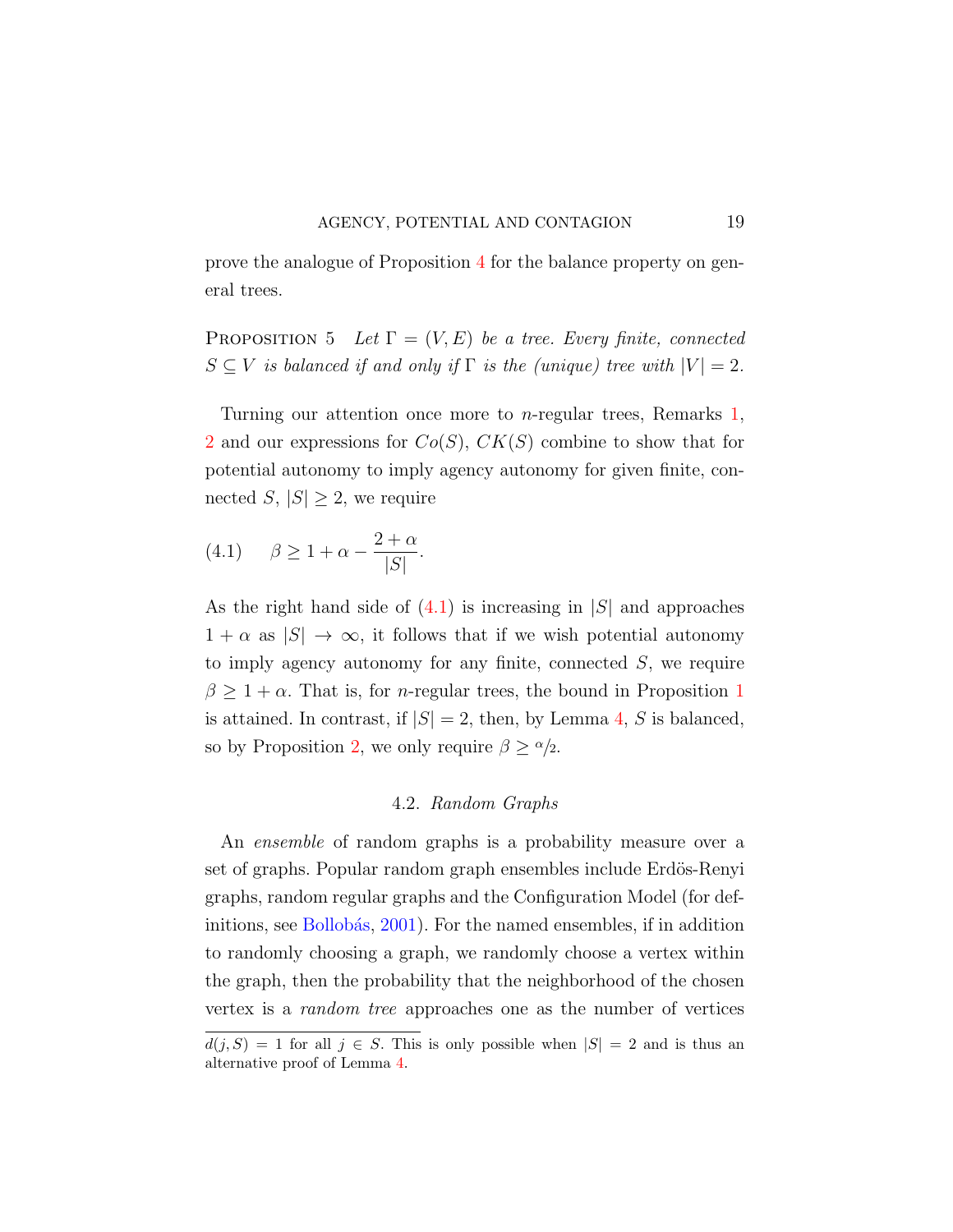prove the analogue of Proposition [4](#page-16-1) for the balance property on general trees.

<span id="page-18-1"></span>PROPOSITION 5 Let  $\Gamma = (V, E)$  be a tree. Every finite, connected  $S \subseteq V$  is balanced if and only if  $\Gamma$  is the (unique) tree with  $|V| = 2$ .

Turning our attention once more to n-regular trees, Remarks [1,](#page-8-0) [2](#page-9-0) and our expressions for  $Co(S)$ ,  $CK(S)$  combine to show that for potential autonomy to imply agency autonomy for given finite, connected S,  $|S| \geq 2$ , we require

<span id="page-18-0"></span>
$$
(4.1) \qquad \beta \ge 1 + \alpha - \frac{2 + \alpha}{|S|}.
$$

As the right hand side of  $(4.1)$  is increasing in  $|S|$  and approaches  $1 + \alpha$  as  $|S| \to \infty$ , it follows that if we wish potential autonomy to imply agency autonomy for any finite, connected  $S$ , we require  $\beta \geq 1 + \alpha$  $\beta \geq 1 + \alpha$  $\beta \geq 1 + \alpha$ . That is, for *n*-regular trees, the bound in Proposition 1 is attained. In contrast, if  $|S| = 2$ , then, by Lemma [4,](#page-17-1) S is balanced, so by Proposition [2,](#page-14-0) we only require  $\beta \geq \alpha/2$ .

## 4.2. Random Graphs

An ensemble of random graphs is a probability measure over a set of graphs. Popular random graph ensembles include Erdös-Renyi graphs, random regular graphs and the Configuration Model (for def-initions, see Bollobás, [2001\)](#page-35-7). For the named ensembles, if in addition to randomly choosing a graph, we randomly choose a vertex within the graph, then the probability that the neighborhood of the chosen vertex is a random tree approaches one as the number of vertices

 $d(j, S) = 1$  for all  $j \in S$ . This is only possible when  $|S| = 2$  and is thus an alternative proof of Lemma [4.](#page-17-1)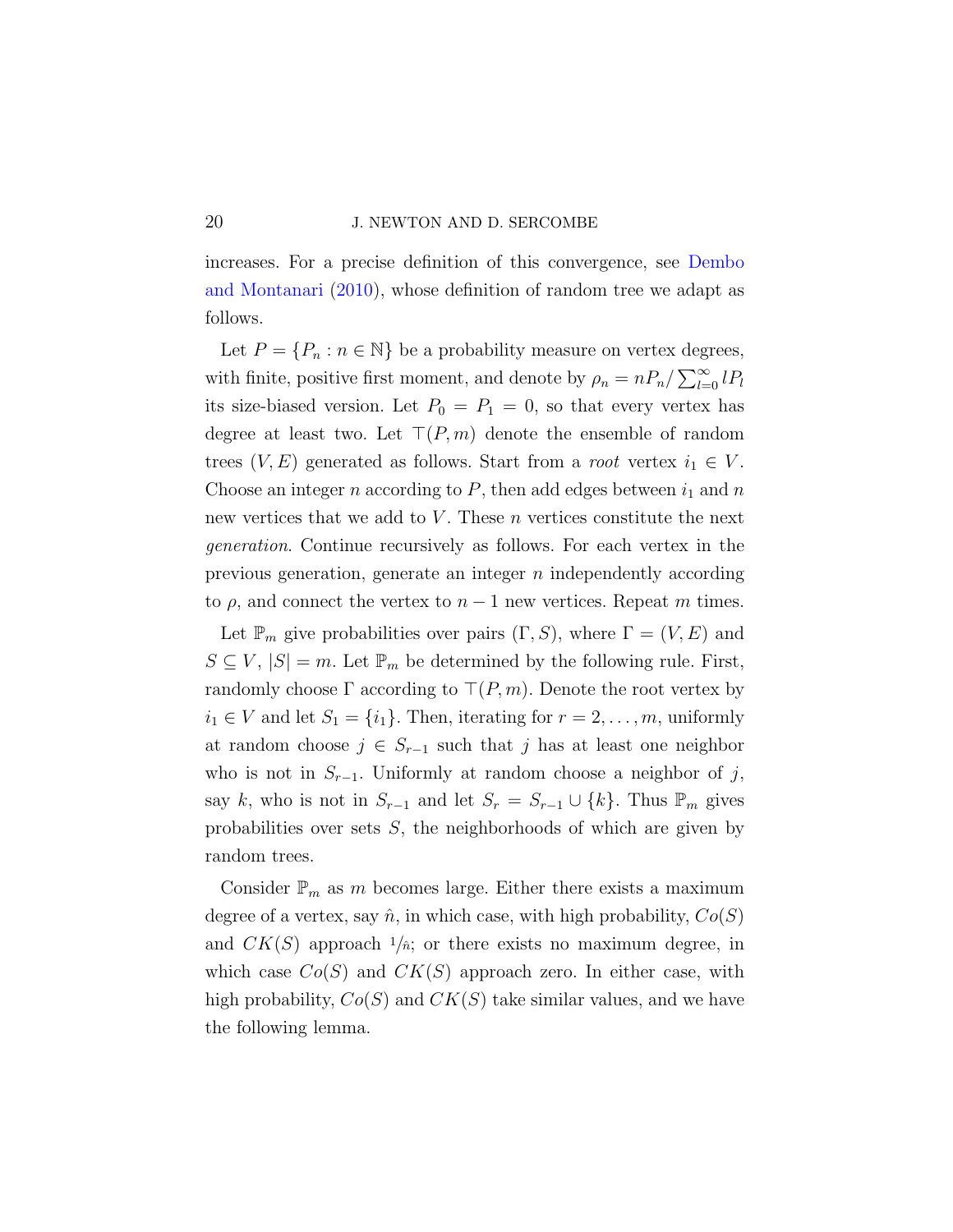increases. For a precise definition of this convergence, see [Dembo](#page-35-8) [and Montanari](#page-35-8) [\(2010\)](#page-35-8), whose definition of random tree we adapt as follows.

Let  $P = \{P_n : n \in \mathbb{N}\}\$ be a probability measure on vertex degrees, with finite, positive first moment, and denote by  $\rho_n = nP_n / \sum_{l=0}^{\infty} lP_l$ its size-biased version. Let  $P_0 = P_1 = 0$ , so that every vertex has degree at least two. Let  $\top (P, m)$  denote the ensemble of random trees  $(V, E)$  generated as follows. Start from a *root* vertex  $i_1 \in V$ . Choose an integer n according to  $P$ , then add edges between  $i_1$  and n new vertices that we add to  $V$ . These  $n$  vertices constitute the next generation. Continue recursively as follows. For each vertex in the previous generation, generate an integer n independently according to *ρ*, and connect the vertex to  $n − 1$  new vertices. Repeat *m* times.

Let  $\mathbb{P}_m$  give probabilities over pairs  $(\Gamma, S)$ , where  $\Gamma = (V, E)$  and  $S \subseteq V, |S| = m$ . Let  $\mathbb{P}_m$  be determined by the following rule. First, randomly choose  $\Gamma$  according to  $\Gamma(P, m)$ . Denote the root vertex by  $i_1 \in V$  and let  $S_1 = \{i_1\}$ . Then, iterating for  $r = 2, \ldots, m$ , uniformly at random choose  $j \in S_{r-1}$  such that j has at least one neighbor who is not in  $S_{r-1}$ . Uniformly at random choose a neighbor of j, say k, who is not in  $S_{r-1}$  and let  $S_r = S_{r-1} \cup \{k\}$ . Thus  $\mathbb{P}_m$  gives probabilities over sets  $S$ , the neighborhoods of which are given by random trees.

Consider  $\mathbb{P}_m$  as m becomes large. Either there exists a maximum degree of a vertex, say  $\hat{n}$ , in which case, with high probability,  $Co(S)$ and  $CK(S)$  approach  $1/n$ ; or there exists no maximum degree, in which case  $Co(S)$  and  $CK(S)$  approach zero. In either case, with high probability,  $Co(S)$  and  $CK(S)$  take similar values, and we have the following lemma.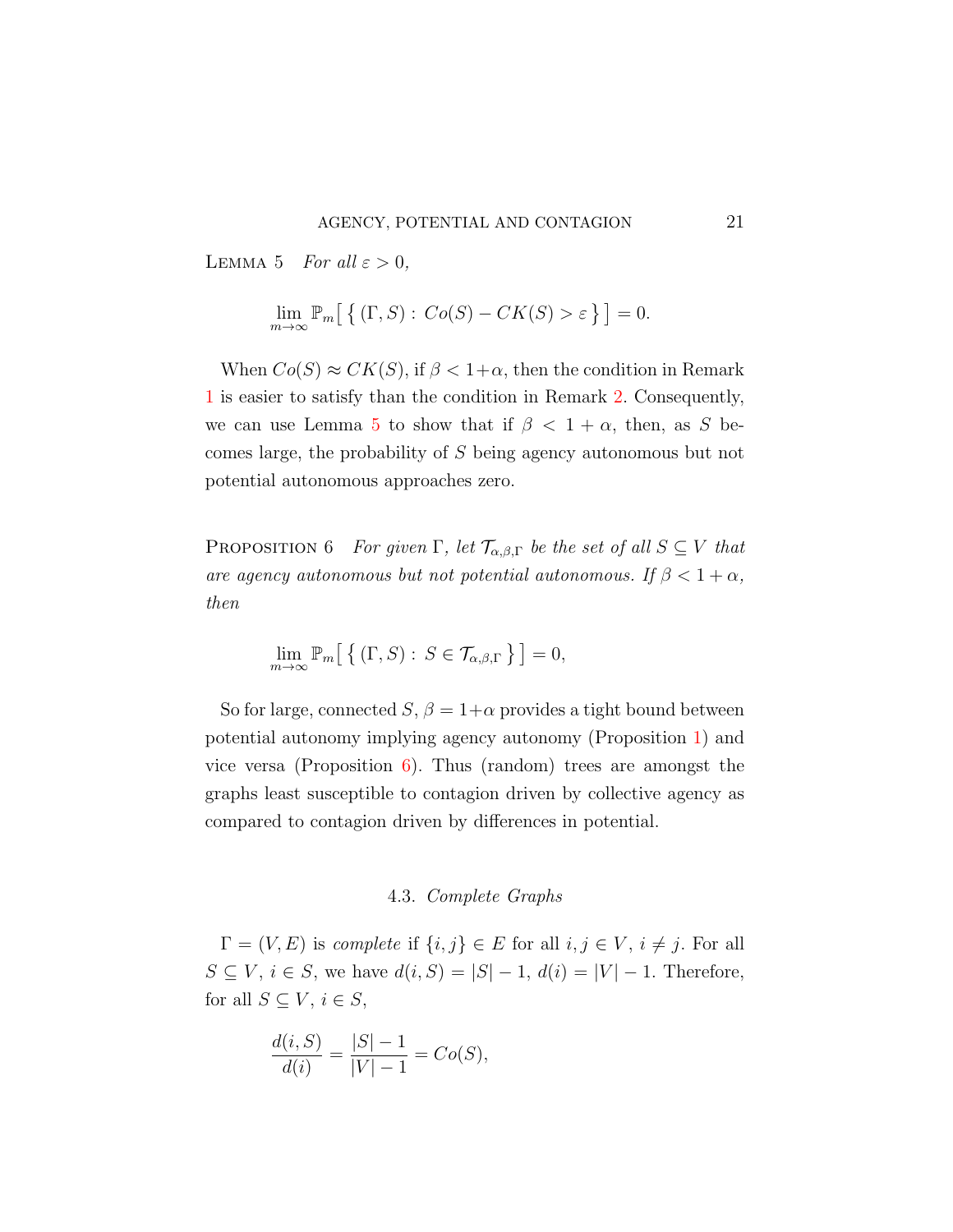<span id="page-20-0"></span>LEMMA 5 For all  $\varepsilon > 0$ ,

$$
\lim_{m \to \infty} \mathbb{P}_m \big[ \big\{ (\Gamma, S) : Co(S) - CK(S) > \varepsilon \big\} \big] = 0.
$$

When  $Co(S) \approx CK(S)$ , if  $\beta < 1+\alpha$ , then the condition in Remark [1](#page-8-0) is easier to satisfy than the condition in Remark [2.](#page-9-0) Consequently, we can use Lemma [5](#page-20-0) to show that if  $\beta < 1 + \alpha$ , then, as S becomes large, the probability of S being agency autonomous but not potential autonomous approaches zero.

<span id="page-20-1"></span>PROPOSITION 6 For given Γ, let  $\mathcal{T}_{\alpha,\beta,\Gamma}$  be the set of all  $S \subseteq V$  that are agency autonomous but not potential autonomous. If  $\beta < 1 + \alpha$ , then

$$
\lim_{m \to \infty} \mathbb{P}_m \big[ \big\{ (\Gamma, S) : S \in \mathcal{T}_{\alpha, \beta, \Gamma} \big\} \big] = 0,
$$

So for large, connected  $S, \beta = 1+\alpha$  provides a tight bound between potential autonomy implying agency autonomy (Proposition [1\)](#page-12-0) and vice versa (Proposition  $6$ ). Thus (random) trees are amongst the graphs least susceptible to contagion driven by collective agency as compared to contagion driven by differences in potential.

## 4.3. Complete Graphs

 $\Gamma = (V, E)$  is complete if  $\{i, j\} \in E$  for all  $i, j \in V$ ,  $i \neq j$ . For all  $S \subseteq V, i \in S$ , we have  $d(i, S) = |S| - 1, d(i) = |V| - 1$ . Therefore, for all  $S \subseteq V, i \in S$ ,

$$
\frac{d(i, S)}{d(i)} = \frac{|S| - 1}{|V| - 1} = Co(S),
$$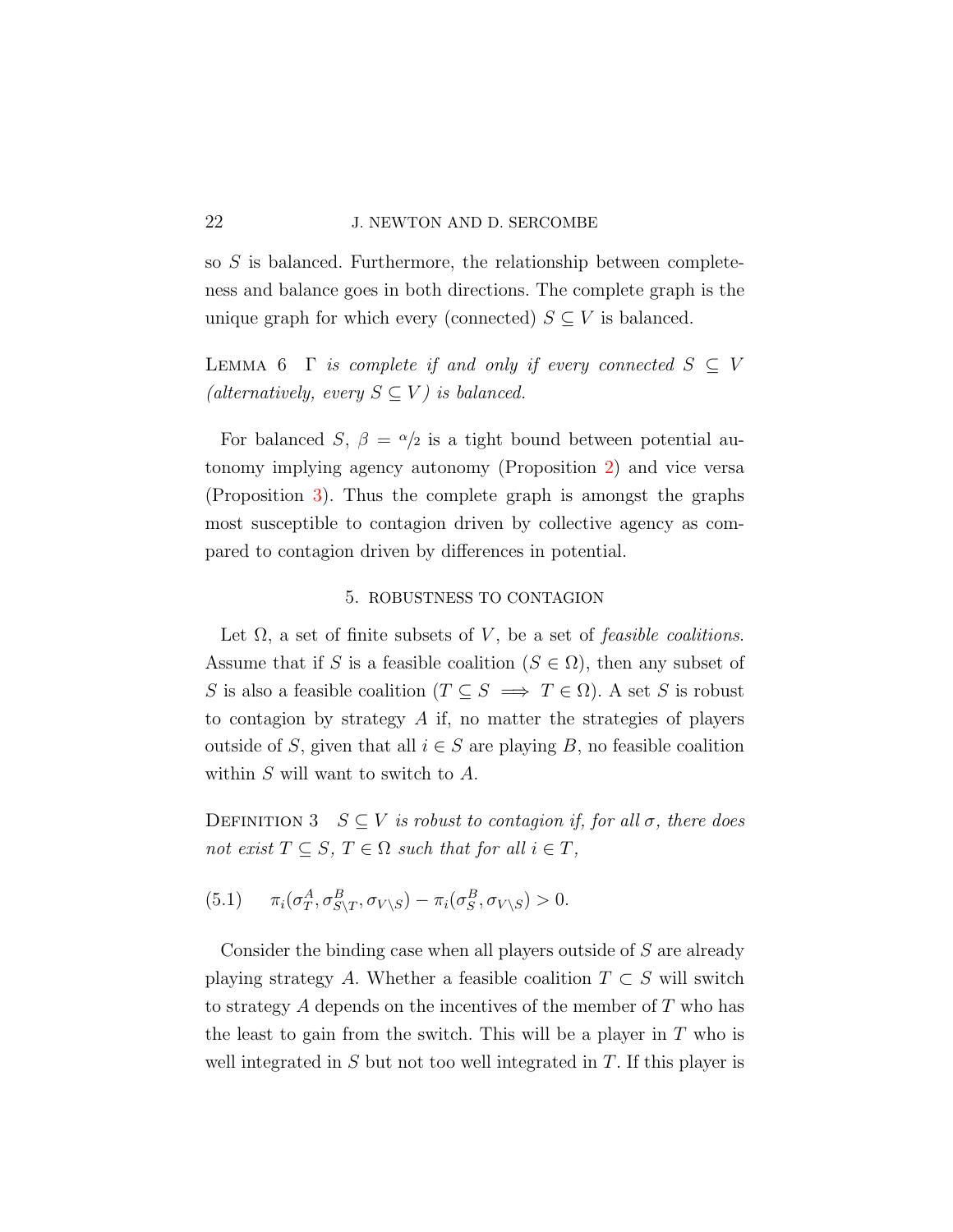so S is balanced. Furthermore, the relationship between completeness and balance goes in both directions. The complete graph is the unique graph for which every (connected)  $S \subseteq V$  is balanced.

<span id="page-21-1"></span>LEMMA 6  $\Gamma$  is complete if and only if every connected  $S \subseteq V$ (alternatively, every  $S \subseteq V$ ) is balanced.

For balanced S,  $\beta = \alpha/2$  is a tight bound between potential autonomy implying agency autonomy (Proposition [2\)](#page-14-0) and vice versa (Proposition [3\)](#page-15-0). Thus the complete graph is amongst the graphs most susceptible to contagion driven by collective agency as compared to contagion driven by differences in potential.

### 5. ROBUSTNESS TO CONTAGION

<span id="page-21-0"></span>Let  $\Omega$ , a set of finite subsets of V, be a set of *feasible coalitions*. Assume that if S is a feasible coalition  $(S \in \Omega)$ , then any subset of S is also a feasible coalition  $(T \subseteq S \implies T \in \Omega)$ . A set S is robust to contagion by strategy A if, no matter the strategies of players outside of S, given that all  $i \in S$  are playing B, no feasible coalition within  $S$  will want to switch to  $A$ .

<span id="page-21-2"></span>DEFINITION 3  $S \subseteq V$  is robust to contagion if, for all  $\sigma$ , there does not exist  $T \subseteq S$ ,  $T \in \Omega$  such that for all  $i \in T$ ,

$$
(5.1) \qquad \pi_i(\sigma_T^A, \sigma_{S\setminus T}^B, \sigma_{V\setminus S}) - \pi_i(\sigma_S^B, \sigma_{V\setminus S}) > 0.
$$

Consider the binding case when all players outside of S are already playing strategy A. Whether a feasible coalition  $T \subset S$  will switch to strategy A depends on the incentives of the member of T who has the least to gain from the switch. This will be a player in  $T$  who is well integrated in  $S$  but not too well integrated in  $T$ . If this player is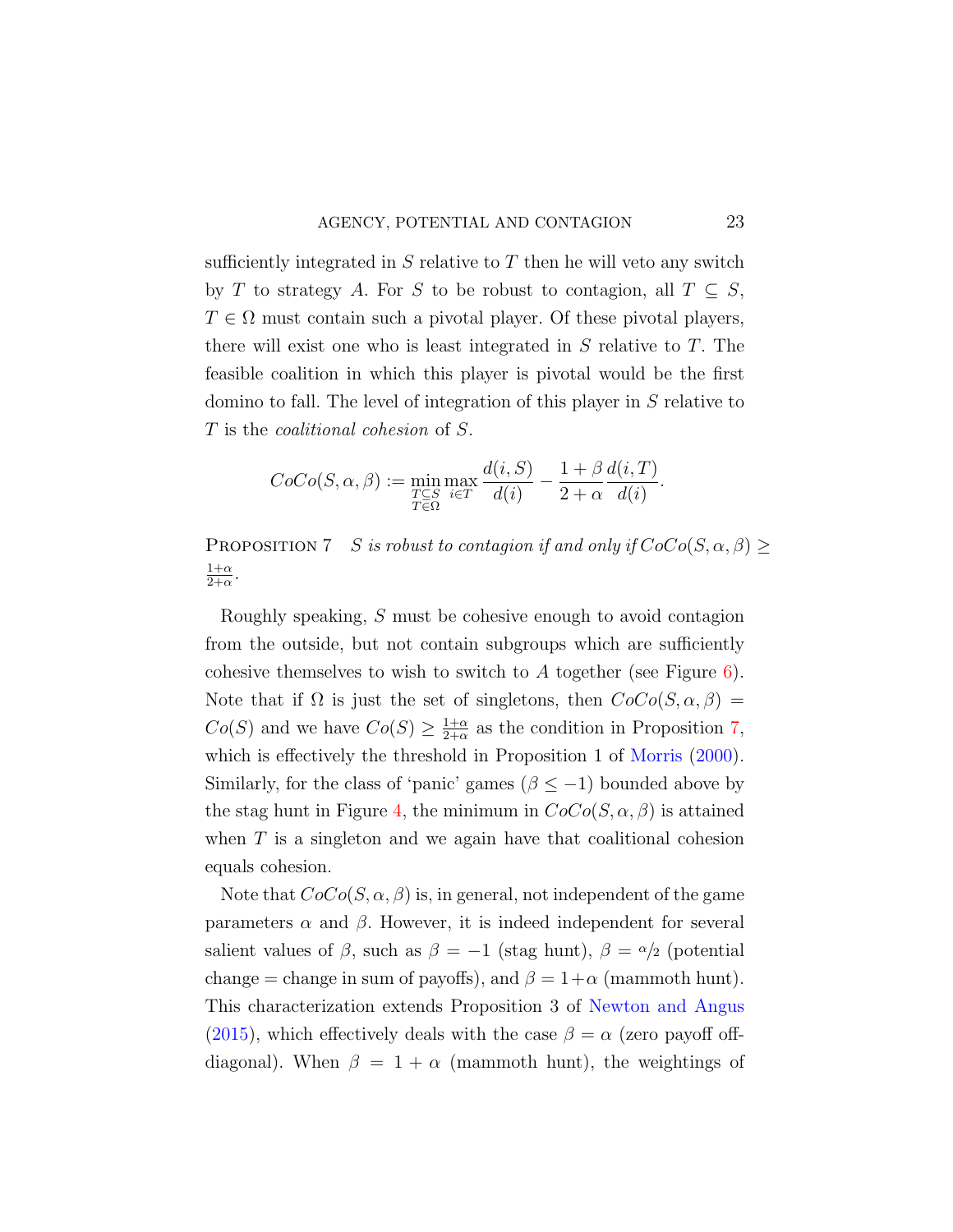sufficiently integrated in  $S$  relative to  $T$  then he will veto any switch by T to strategy A. For S to be robust to contagion, all  $T \subseteq S$ ,  $T \in \Omega$  must contain such a pivotal player. Of these pivotal players, there will exist one who is least integrated in  $S$  relative to  $T$ . The feasible coalition in which this player is pivotal would be the first domino to fall. The level of integration of this player in S relative to T is the coalitional cohesion of S.

$$
CoCo(S, \alpha, \beta) := \min_{\substack{T \subseteq S \\ T \in \Omega}} \max_{i \in T} \frac{d(i, S)}{d(i)} - \frac{1 + \beta}{2 + \alpha} \frac{d(i, T)}{d(i)}.
$$

<span id="page-22-0"></span>PROPOSITION 7 S is robust to contagion if and only if  $CoCo(S, \alpha, \beta) \geq$  $1+\alpha$  $\frac{1+\alpha}{2+\alpha}$ .

Roughly speaking, S must be cohesive enough to avoid contagion from the outside, but not contain subgroups which are sufficiently cohesive themselves to wish to switch to A together (see Figure  $6$ ). Note that if  $\Omega$  is just the set of singletons, then  $CoCo(S, \alpha, \beta)$  $Co(S)$  and we have  $Co(S) \geq \frac{1+\alpha}{2+\alpha}$  $\frac{1+\alpha}{2+\alpha}$  as the condition in Proposition [7,](#page-22-0) which is effectively the threshold in Proposition 1 of [Morris](#page-35-1)  $(2000)$ . Similarly, for the class of 'panic' games ( $\beta \leq -1$ ) bounded above by the stag hunt in Figure [4,](#page-13-0) the minimum in  $CoCo(S, \alpha, \beta)$  is attained when  $T$  is a singleton and we again have that coalitional cohesion equals cohesion.

Note that  $CoCo(S, \alpha, \beta)$  is, in general, not independent of the game parameters  $\alpha$  and  $\beta$ . However, it is indeed independent for several salient values of  $\beta$ , such as  $\beta = -1$  (stag hunt),  $\beta = \alpha/2$  (potential change = change in sum of payoffs), and  $\beta = 1+\alpha$  (mammoth hunt). This characterization extends Proposition 3 of [Newton and Angus](#page-35-5) [\(2015\)](#page-35-5), which effectively deals with the case  $\beta = \alpha$  (zero payoff offdiagonal). When  $\beta = 1 + \alpha$  (mammoth hunt), the weightings of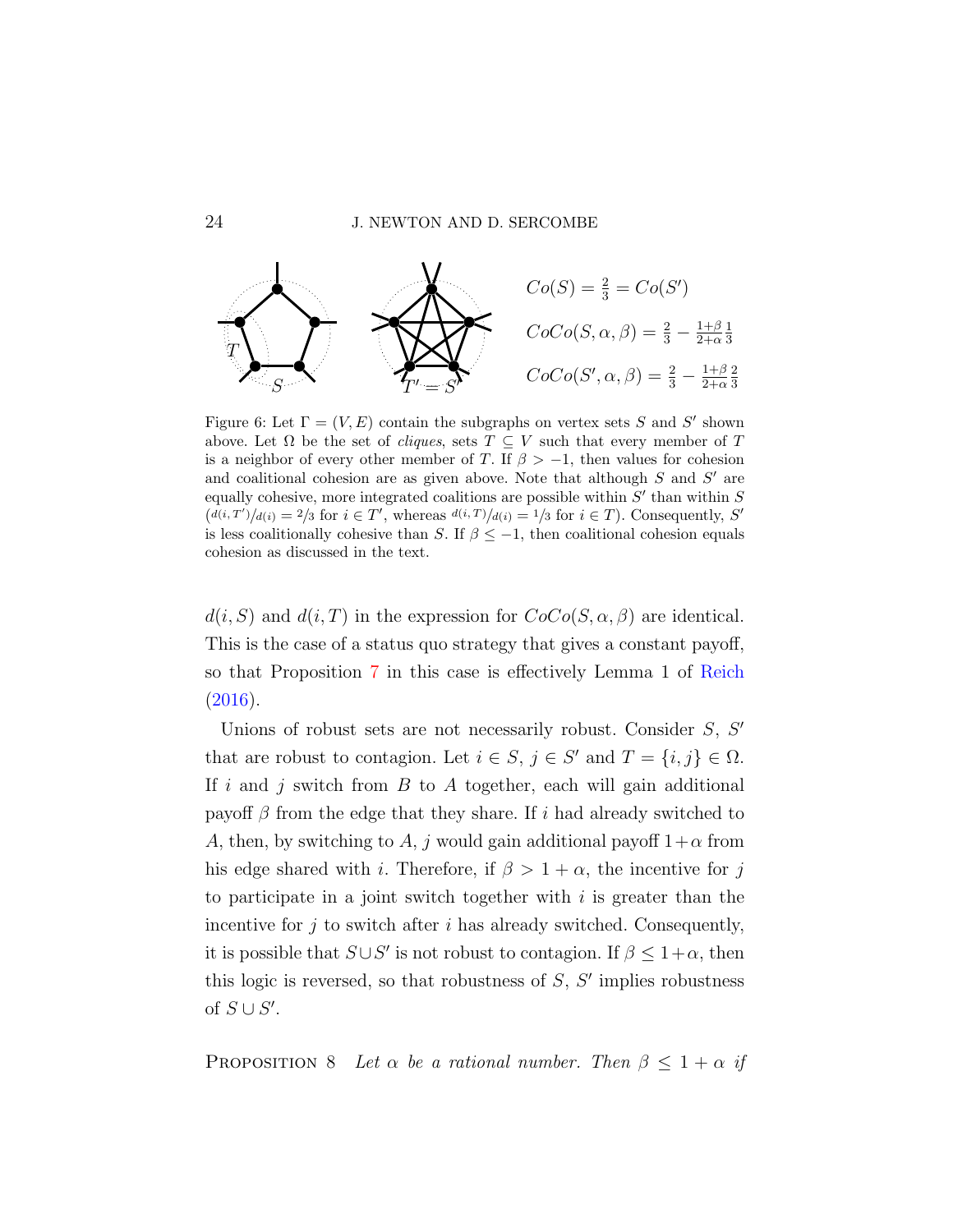<span id="page-23-0"></span>

Figure 6: Let  $\Gamma = (V, E)$  contain the subgraphs on vertex sets S and S' shown above. Let  $\Omega$  be the set of *cliques*, sets  $T \subseteq V$  such that every member of T is a neighbor of every other member of T. If  $\beta > -1$ , then values for cohesion and coalitional cohesion are as given above. Note that although  $S$  and  $S'$  are equally cohesive, more integrated coalitions are possible within  $S'$  than within  $S$  $(d(i, T')/d(i) = 2/3$  for  $i \in T'$ , whereas  $d(i, T)/d(i) = 1/3$  for  $i \in T$ ). Consequently, S' is less coalitionally cohesive than S. If  $\beta \leq -1$ , then coalitional cohesion equals cohesion as discussed in the text.

 $d(i, S)$  and  $d(i, T)$  in the expression for  $CoCo(S, \alpha, \beta)$  are identical. This is the case of a status quo strategy that gives a constant payoff, so that Proposition [7](#page-22-0) in this case is effectively Lemma 1 of [Reich](#page-35-9) [\(2016\)](#page-35-9).

Unions of robust sets are not necessarily robust. Consider  $S, S'$ that are robust to contagion. Let  $i \in S$ ,  $j \in S'$  and  $T = \{i, j\} \in \Omega$ . If i and j switch from  $B$  to  $A$  together, each will gain additional payoff  $\beta$  from the edge that they share. If i had already switched to A, then, by switching to A, j would gain additional payoff  $1+\alpha$  from his edge shared with i. Therefore, if  $\beta > 1 + \alpha$ , the incentive for j to participate in a joint switch together with  $i$  is greater than the incentive for  $j$  to switch after  $i$  has already switched. Consequently, it is possible that  $S \cup S'$  is not robust to contagion. If  $\beta \leq 1+\alpha$ , then this logic is reversed, so that robustness of  $S$ ,  $S'$  implies robustness of  $S \cup S'$ .

<span id="page-23-1"></span>PROPOSITION 8 Let  $\alpha$  be a rational number. Then  $\beta \leq 1 + \alpha$  if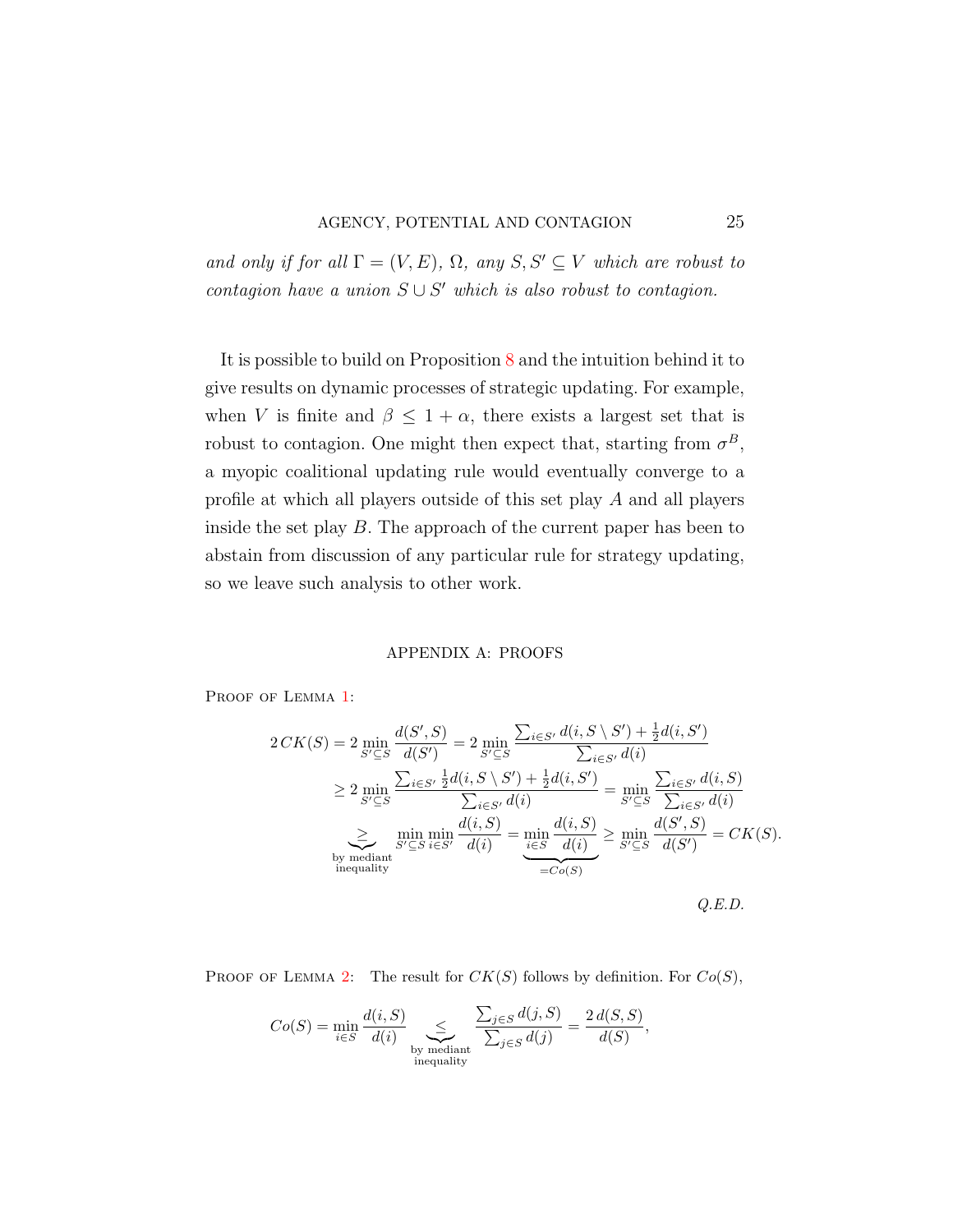and only if for all  $\Gamma = (V, E), \Omega$ , any  $S, S' \subseteq V$  which are robust to contagion have a union  $S \cup S'$  which is also robust to contagion.

It is possible to build on Proposition [8](#page-23-1) and the intuition behind it to give results on dynamic processes of strategic updating. For example, when V is finite and  $\beta \leq 1 + \alpha$ , there exists a largest set that is robust to contagion. One might then expect that, starting from  $\sigma^B$ , a myopic coalitional updating rule would eventually converge to a profile at which all players outside of this set play A and all players inside the set play  $B$ . The approach of the current paper has been to abstain from discussion of any particular rule for strategy updating, so we leave such analysis to other work.

#### APPENDIX A: PROOFS

PROOF OF LEMMA [1:](#page-10-1)

$$
2CK(S) = 2 \min_{S' \subseteq S} \frac{d(S', S)}{d(S')} = 2 \min_{S' \subseteq S} \frac{\sum_{i \in S'} d(i, S \setminus S') + \frac{1}{2}d(i, S')}{\sum_{i \in S'} d(i)}
$$
  
\n
$$
\geq 2 \min_{S' \subseteq S} \frac{\sum_{i \in S'} \frac{1}{2}d(i, S \setminus S') + \frac{1}{2}d(i, S')}{\sum_{i \in S'} d(i)} = \min_{S' \subseteq S} \frac{\sum_{i \in S'} d(i, S)}{\sum_{i \in S'} d(i)}
$$
  
\n
$$
\geq \min_{S' \subseteq S} \min_{i \in S'} \frac{d(i, S)}{d(i)} = \min_{\substack{i \in S \\ \text{inequality}}} \frac{d(i, S)}{d(i)} \geq \min_{S' \subseteq S} \frac{d(S', S)}{d(S')} = CK(S).
$$
  
\n
$$
Q.E.D.
$$

PROOF OF LEMMA [2:](#page-11-0) The result for  $CK(S)$  follows by definition. For  $Co(S)$ ,

$$
Co(S) = \min_{i \in S} \frac{d(i, S)}{d(i)} \sum_{\substack{\text{by median} \\ \text{inequality}}} \frac{\sum_{j \in S} d(j, S)}{\sum_{j \in S} d(j)} = \frac{2 d(S, S)}{d(S)},
$$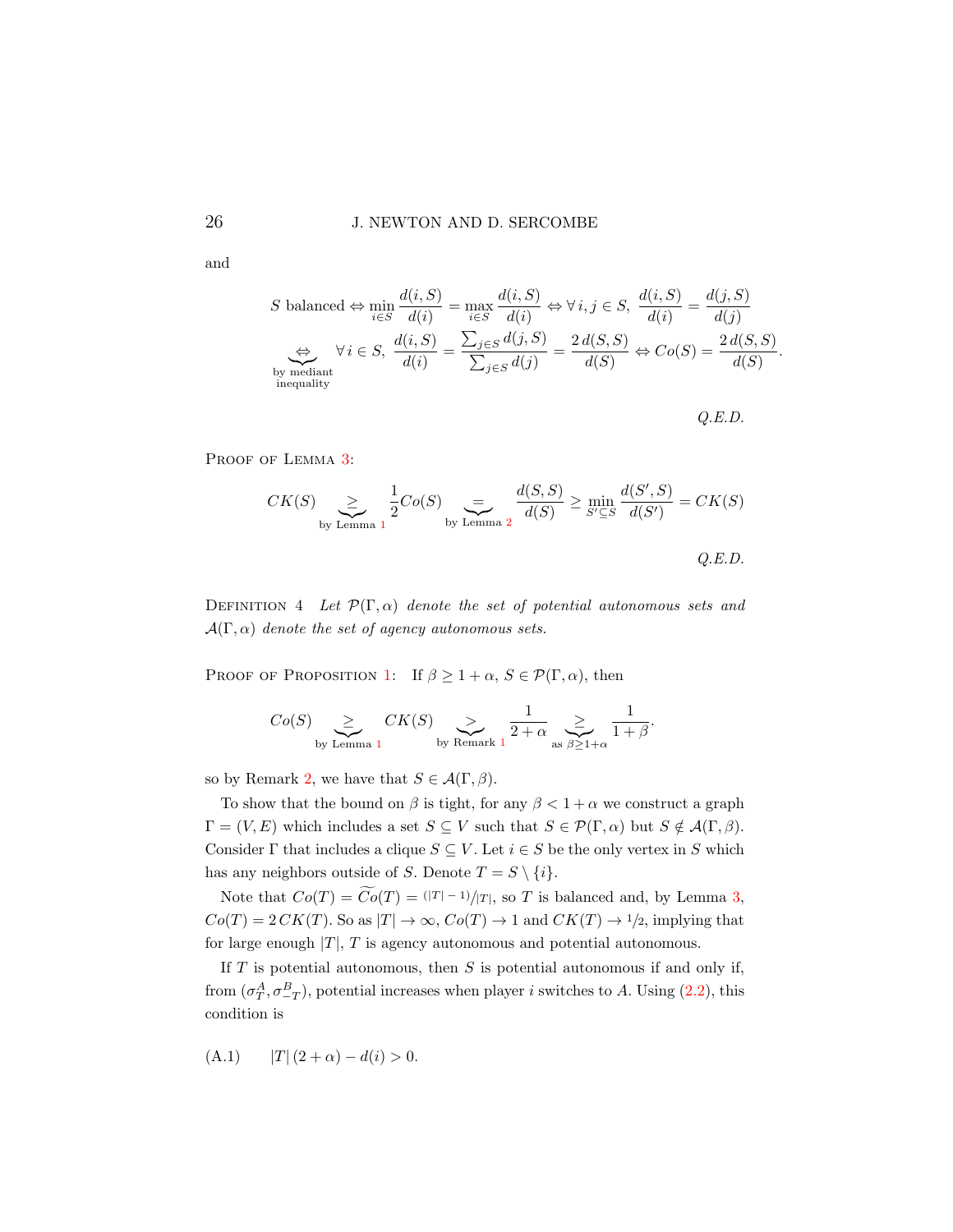and

$$
S \text{ balanced} \Leftrightarrow \min_{i \in S} \frac{d(i, S)}{d(i)} = \max_{i \in S} \frac{d(i, S)}{d(i)} \Leftrightarrow \forall i, j \in S, \frac{d(i, S)}{d(i)} = \frac{d(j, S)}{d(j)}
$$

$$
\Leftrightarrow \forall i \in S, \frac{d(i, S)}{d(i)} = \frac{\sum_{j \in S} d(j, S)}{\sum_{j \in S} d(j)} = \frac{2 d(S, S)}{d(S)} \Leftrightarrow Co(S) = \frac{2 d(S, S)}{d(S)}
$$
by mediant inequality

Q.E.D.

.

PROOF OF LEMMA [3:](#page-11-1)

$$
CK(S) \sum_{\text{by Lemma 1}} \frac{1}{2}Co(S) \sum_{\text{by Lemma 2}} \frac{d(S, S)}{d(S)} \ge \min_{S' \subseteq S} \frac{d(S', S)}{d(S')} = CK(S)
$$
  
Q.E.D.

DEFINITION 4 Let  $\mathcal{P}(\Gamma,\alpha)$  denote the set of potential autonomous sets and  $\mathcal{A}(\Gamma,\alpha)$  denote the set of agency autonomous sets.

PROOF OF PROPOSITION [1:](#page-12-0) If  $\beta \geq 1 + \alpha$ ,  $S \in \mathcal{P}(\Gamma, \alpha)$ , then

$$
Co(S) \sum_{\text{by Lemma 1}} CK(S) \sum_{\text{by Remark 1}} \frac{1}{2+\alpha} \sum_{\text{as } \beta \geq 1+\alpha} \frac{1}{1+\beta}.
$$

so by Remark [2,](#page-9-0) we have that  $S \in \mathcal{A}(\Gamma, \beta)$ .

To show that the bound on  $\beta$  is tight, for any  $\beta < 1 + \alpha$  we construct a graph  $\Gamma = (V, E)$  which includes a set  $S \subseteq V$  such that  $S \in \mathcal{P}(\Gamma, \alpha)$  but  $S \notin \mathcal{A}(\Gamma, \beta)$ . Consider  $\Gamma$  that includes a clique  $S \subseteq V$ . Let  $i \in S$  be the only vertex in S which has any neighbors outside of S. Denote  $T = S \setminus \{i\}.$ 

Note that  $Co(T) = \widetilde{Co}(T) = (|T| - 1)/|T|$ , so T is balanced and, by Lemma [3,](#page-11-1)  $Co(T) = 2 CK(T)$ . So as  $|T| \to \infty$ ,  $Co(T) \to 1$  and  $CK(T) \to 1/2$ , implying that for large enough  $|T|$ , T is agency autonomous and potential autonomous.

If  $T$  is potential autonomous, then  $S$  is potential autonomous if and only if, from  $(\sigma_T^A, \sigma_{-T}^B)$ , potential increases when player *i* switches to A. Using [\(2.2\)](#page-4-1), this condition is

<span id="page-25-0"></span>(A.1) 
$$
|T|(2+\alpha) - d(i) > 0.
$$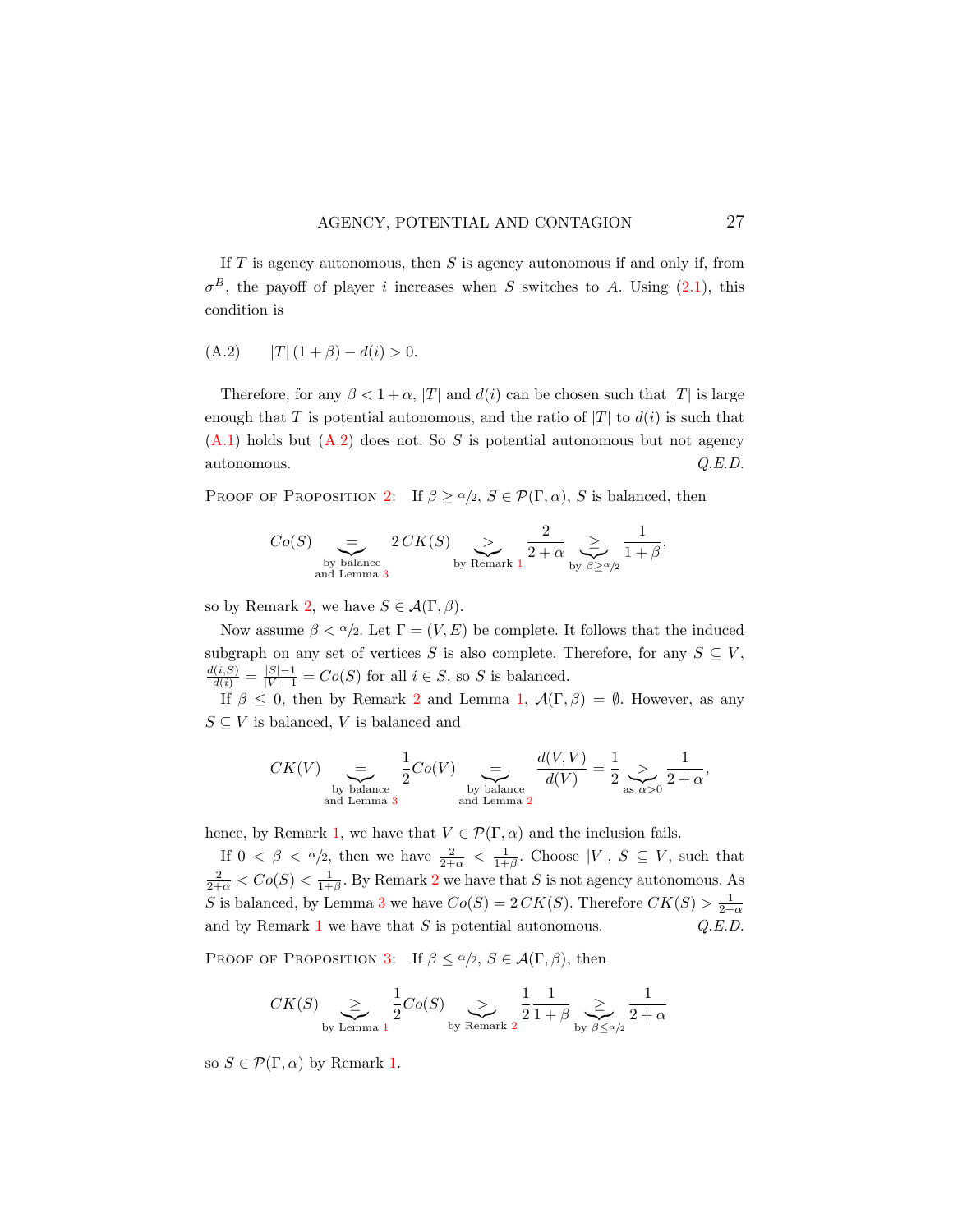If  $T$  is agency autonomous, then  $S$  is agency autonomous if and only if, from  $\sigma^B$ , the payoff of player *i* increases when S switches to A. Using [\(2.1\)](#page-4-2), this condition is

<span id="page-26-0"></span>(A.2) 
$$
|T| (1 + \beta) - d(i) > 0.
$$

Therefore, for any  $\beta < 1 + \alpha$ , |T| and  $d(i)$  can be chosen such that |T| is large enough that T is potential autonomous, and the ratio of  $|T|$  to  $d(i)$  is such that  $(A.1)$  holds but  $(A.2)$  does not. So S is potential autonomous but not agency autonomous. Q.E.D.

PROOF OF PROPOSITION [2:](#page-14-0) If  $\beta \ge \alpha/2$ ,  $S \in \mathcal{P}(\Gamma, \alpha)$ , S is balanced, then

$$
Co(S) \underset{\text{by balance} \atop \text{and Lemma 3}}{\underbrace{=}} 2 \, CK(S) \underset{\text{by Remark 1}}{\underbrace{>}} \frac{2}{2+\alpha} \underset{\text{by } \beta \geq \alpha/2}{\underbrace{=}} \frac{1}{1+\beta},
$$

so by Remark [2,](#page-9-0) we have  $S \in \mathcal{A}(\Gamma, \beta)$ .

Now assume  $\beta < \alpha/2$ . Let  $\Gamma = (V, E)$  be complete. It follows that the induced subgraph on any set of vertices S is also complete. Therefore, for any  $S \subseteq V$ ,  $\frac{d(i, S)}{d(i)} = \frac{|S|-1}{|V|-1} = Co(S)$  for all  $i \in S$ , so S is balanced.

If  $\beta \leq 0$ , then by Remark [2](#page-9-0) and Lemma [1,](#page-10-1)  $\mathcal{A}(\Gamma,\beta) = \emptyset$ . However, as any  $S \subseteq V$  is balanced, V is balanced and

$$
CK(V) \underbrace{=}_{\text{by balance}} \frac{1}{2}Co(V) \underbrace{=}_{\text{by balance}} \frac{d(V,V)}{d(V)} = \frac{1}{2} \underbrace{>}_{\text{as } \alpha > 0} \frac{1}{2+\alpha},
$$

hence, by Remark [1,](#page-8-0) we have that  $V \in \mathcal{P}(\Gamma, \alpha)$  and the inclusion fails.

If  $0 < \beta < \alpha/2$ , then we have  $\frac{2}{2+\alpha} < \frac{1}{1+\beta}$ . Choose |V|,  $S \subseteq V$ , such that  $\frac{2}{2+\alpha} < Co(S) < \frac{1}{1+\beta}$  $\frac{2}{2+\alpha} < Co(S) < \frac{1}{1+\beta}$  $\frac{2}{2+\alpha} < Co(S) < \frac{1}{1+\beta}$ . By Remark 2 we have that S is not agency autonomous. As S is balanced, by Lemma [3](#page-11-1) we have  $Co(S) = 2 C K(S)$ . Therefore  $CK(S) > \frac{1}{2+\alpha}$ and by Remark [1](#page-8-0) we have that  $S$  is potential autonomous.  $Q.E.D.$ 

PROOF OF PROPOSITION [3:](#page-15-0) If  $\beta \leq \alpha/2$ ,  $S \in \mathcal{A}(\Gamma, \beta)$ , then

$$
CK(S) \underset{\text{by Lemma 1}}{\geq} \frac{1}{2}Co(S) \underset{\text{by Remark 2}}{\geq} \frac{1}{2} \frac{1}{1+\beta} \underset{\text{by }\beta \leq \alpha/2}{\geq} \frac{1}{2+\alpha}
$$

so  $S \in \mathcal{P}(\Gamma, \alpha)$  by Remark [1.](#page-8-0)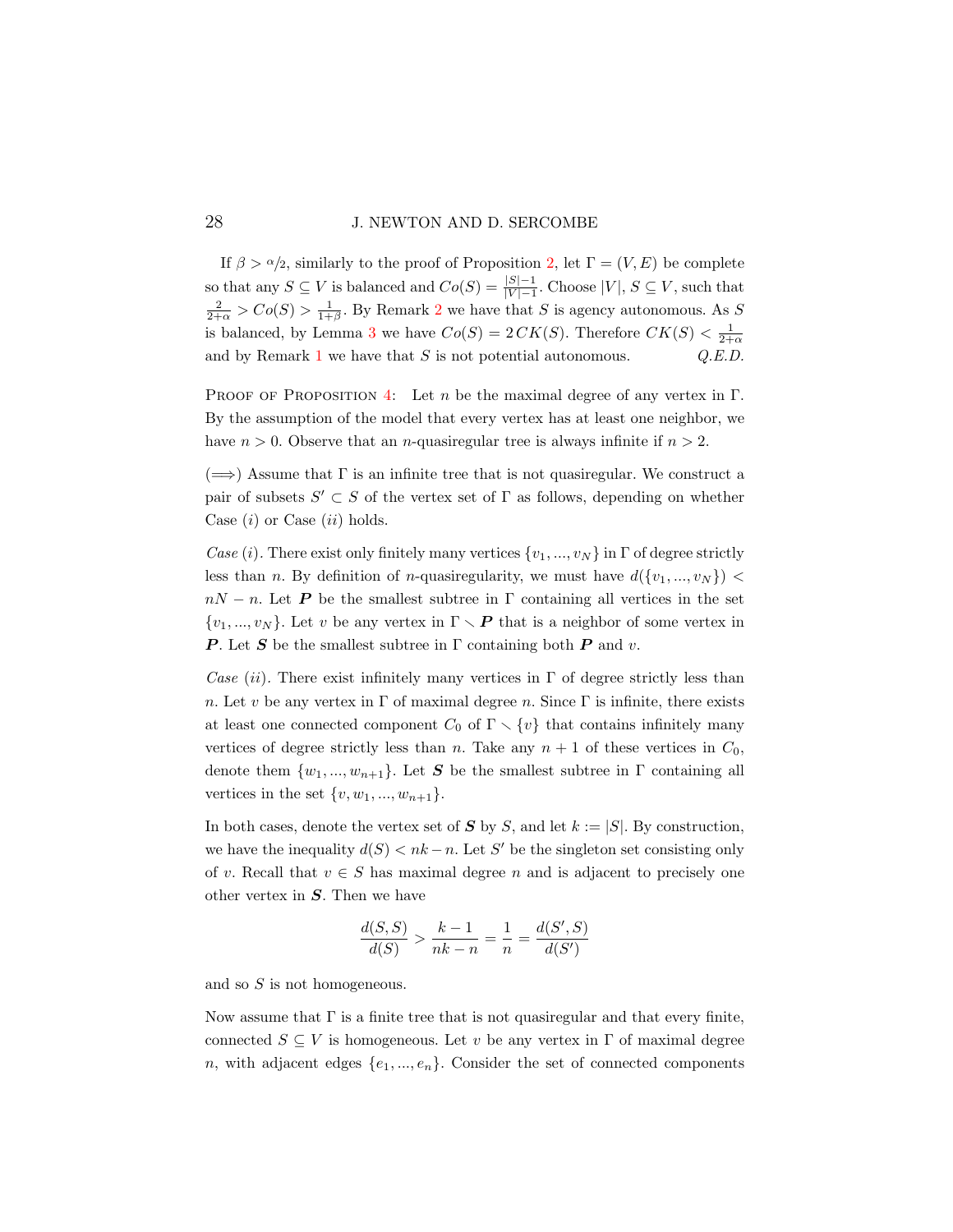### 28 J. NEWTON AND D. SERCOMBE

If  $\beta > \alpha/2$ , similarly to the proof of Proposition [2,](#page-14-0) let  $\Gamma = (V, E)$  be complete so that any  $S \subseteq V$  is balanced and  $Co(S) = \frac{|S|-1}{|V|-1}$ . Choose  $|V|, S \subseteq V$ , such that  $\frac{2}{2+\alpha}$  $\frac{2}{2+\alpha}$  $\frac{2}{2+\alpha}$  >  $Co(S)$  >  $\frac{1}{1+\beta}$ . By Remark 2 we have that S is agency autonomous. As S is balanced, by Lemma [3](#page-11-1) we have  $Co(S) = 2CK(S)$ . Therefore  $CK(S) < \frac{1}{2+\alpha}$ and by Remark [1](#page-8-0) we have that  $S$  is not potential autonomous.  $Q.E.D.$ 

PROOF OF PROPOSITION [4:](#page-16-1) Let n be the maximal degree of any vertex in  $\Gamma$ . By the assumption of the model that every vertex has at least one neighbor, we have  $n > 0$ . Observe that an *n*-quasiregular tree is always infinite if  $n > 2$ .

 $(\Longrightarrow)$  Assume that  $\Gamma$  is an infinite tree that is not quasiregular. We construct a pair of subsets  $S' \subset S$  of the vertex set of  $\Gamma$  as follows, depending on whether Case  $(i)$  or Case  $(ii)$  holds.

Case (i). There exist only finitely many vertices  $\{v_1, ..., v_N\}$  in  $\Gamma$  of degree strictly less than n. By definition of n-quasiregularity, we must have  $d({v_1},...,v_N)$  <  $nN - n$ . Let **P** be the smallest subtree in Γ containing all vertices in the set  $\{v_1, ..., v_N\}$ . Let v be any vertex in  $\Gamma \setminus P$  that is a neighbor of some vertex in **P**. Let S be the smallest subtree in  $\Gamma$  containing both **P** and v.

Case (ii). There exist infinitely many vertices in  $\Gamma$  of degree strictly less than n. Let v be any vertex in  $\Gamma$  of maximal degree n. Since  $\Gamma$  is infinite, there exists at least one connected component  $C_0$  of  $\Gamma \setminus \{v\}$  that contains infinitely many vertices of degree strictly less than n. Take any  $n + 1$  of these vertices in  $C_0$ , denote them  $\{w_1, ..., w_{n+1}\}\.$  Let S be the smallest subtree in  $\Gamma$  containing all vertices in the set  $\{v, w_1, ..., w_{n+1}\}.$ 

In both cases, denote the vertex set of  $S$  by  $S$ , and let  $k := |S|$ . By construction, we have the inequality  $d(S) < nk - n$ . Let S' be the singleton set consisting only of v. Recall that  $v \in S$  has maximal degree n and is adjacent to precisely one other vertex in  $S$ . Then we have

$$
\frac{d(S, S)}{d(S)} > \frac{k - 1}{nk - n} = \frac{1}{n} = \frac{d(S', S)}{d(S')}
$$

and so S is not homogeneous.

Now assume that  $\Gamma$  is a finite tree that is not quasiregular and that every finite, connected  $S \subseteq V$  is homogeneous. Let v be any vertex in  $\Gamma$  of maximal degree n, with adjacent edges  $\{e_1, ..., e_n\}$ . Consider the set of connected components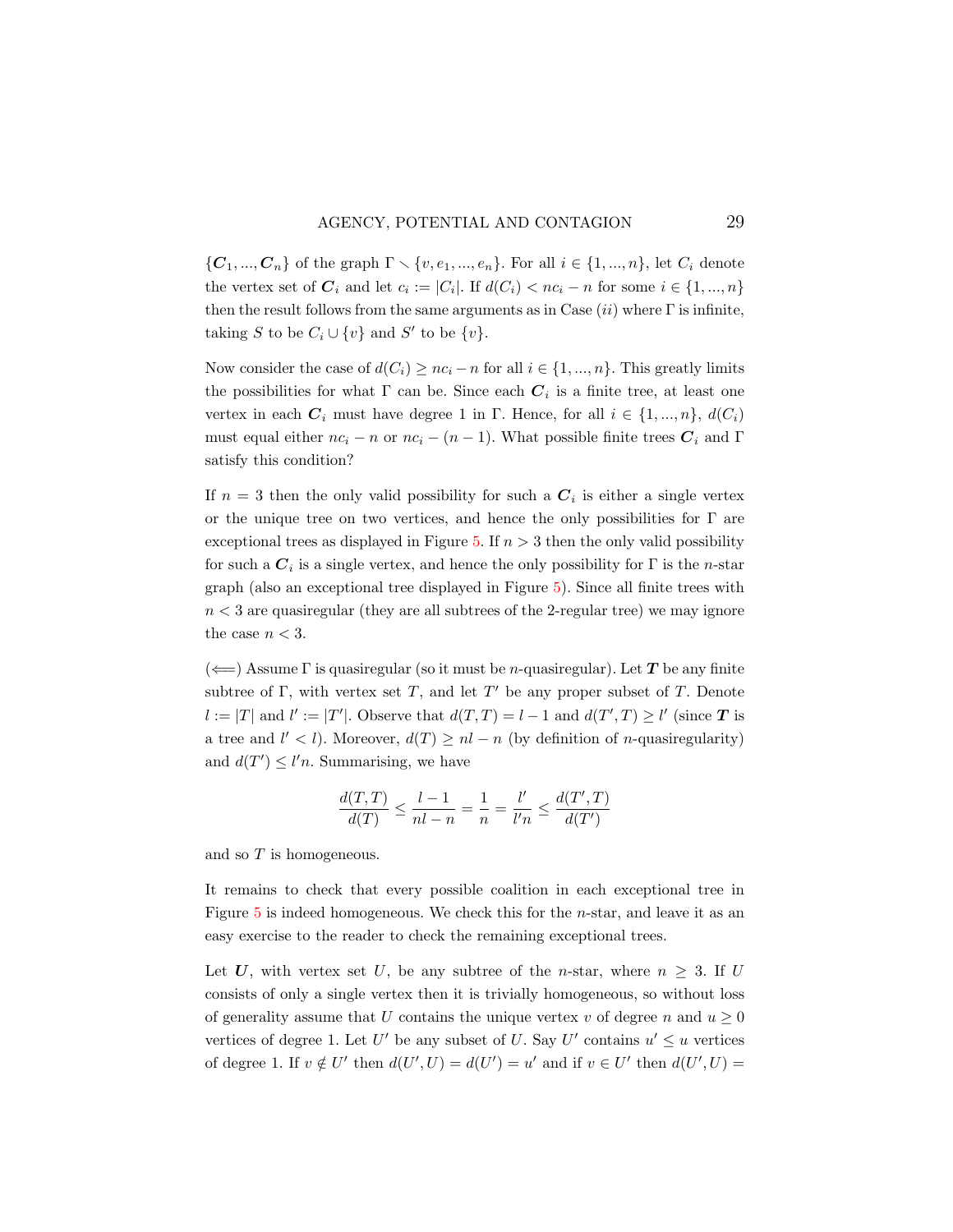$\{C_1, ..., C_n\}$  of the graph  $\Gamma \setminus \{v, e_1, ..., e_n\}$ . For all  $i \in \{1, ..., n\}$ , let  $C_i$  denote the vertex set of  $C_i$  and let  $c_i := |C_i|$ . If  $d(C_i) < nc_i - n$  for some  $i \in \{1, ..., n\}$ then the result follows from the same arguments as in Case  $(ii)$  where  $\Gamma$  is infinite, taking S to be  $C_i \cup \{v\}$  and S' to be  $\{v\}$ .

Now consider the case of  $d(C_i) \geq nc_i - n$  for all  $i \in \{1, ..., n\}$ . This greatly limits the possibilities for what  $\Gamma$  can be. Since each  $C_i$  is a finite tree, at least one vertex in each  $C_i$  must have degree 1 in Γ. Hence, for all  $i \in \{1, ..., n\}$ ,  $d(C_i)$ must equal either  $nc_i - n$  or  $nc_i - (n - 1)$ . What possible finite trees  $C_i$  and Γ satisfy this condition?

If  $n=3$  then the only valid possibility for such a  $C_i$  is either a single vertex or the unique tree on two vertices, and hence the only possibilities for  $\Gamma$  are exceptional trees as displayed in Figure [5.](#page-17-0) If  $n > 3$  then the only valid possibility for such a  $C_i$  is a single vertex, and hence the only possibility for  $\Gamma$  is the *n*-star graph (also an exceptional tree displayed in Figure [5\)](#page-17-0). Since all finite trees with  $n < 3$  are quasiregular (they are all subtrees of the 2-regular tree) we may ignore the case  $n < 3$ .

 $(\Leftarrow)$  Assume  $\Gamma$  is quasiregular (so it must be *n*-quasiregular). Let T be any finite subtree of  $\Gamma$ , with vertex set  $T$ , and let  $T'$  be any proper subset of  $T$ . Denote  $l := |T|$  and  $l' := |T'|$ . Observe that  $d(T,T) = l - 1$  and  $d(T',T) \ge l'$  (since T is a tree and  $l' < l$ ). Moreover,  $d(T) \geq nl - n$  (by definition of *n*-quasiregularity) and  $d(T') \leq l'n$ . Summarising, we have

$$
\frac{d(T,T)}{d(T)} \le \frac{l-1}{nl-n} = \frac{1}{n} = \frac{l'}{l'n} \le \frac{d(T',T)}{d(T')}
$$

and so T is homogeneous.

It remains to check that every possible coalition in each exceptional tree in Figure  $5$  is indeed homogeneous. We check this for the *n*-star, and leave it as an easy exercise to the reader to check the remaining exceptional trees.

Let U, with vertex set U, be any subtree of the n-star, where  $n \geq 3$ . If U consists of only a single vertex then it is trivially homogeneous, so without loss of generality assume that U contains the unique vertex v of degree n and  $u \geq 0$ vertices of degree 1. Let U' be any subset of U. Say U' contains  $u' \leq u$  vertices of degree 1. If  $v \notin U'$  then  $d(U', U) = d(U') = u'$  and if  $v \in U'$  then  $d(U', U) =$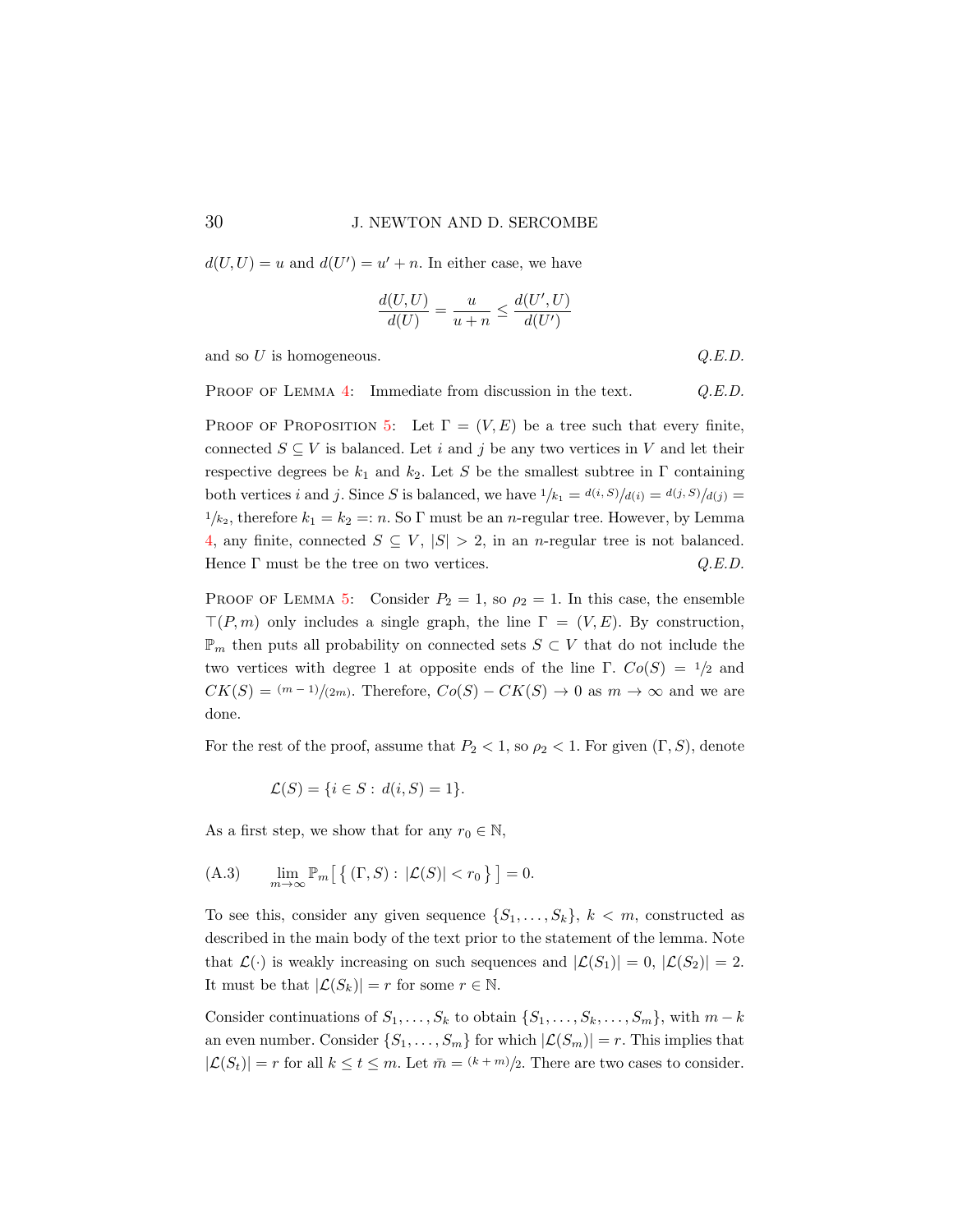$d(U, U) = u$  and  $d(U') = u' + n$ . In either case, we have

$$
\frac{d(U,U)}{d(U)} = \frac{u}{u+n} \le \frac{d(U',U)}{d(U')}
$$

and so  $U$  is homogeneous.  $Q.E.D.$ 

PROOF OF LEMMA [4:](#page-17-1) Immediate from discussion in the text. Q.E.D.

PROOF OF PROPOSITION [5:](#page-18-1) Let  $\Gamma = (V, E)$  be a tree such that every finite, connected  $S \subseteq V$  is balanced. Let i and j be any two vertices in V and let their respective degrees be  $k_1$  and  $k_2$ . Let S be the smallest subtree in  $\Gamma$  containing both vertices i and j. Since S is balanced, we have  $1/k_1 = d(i, S)/d(i) = d(j, S)/d(j) =$  $1/k_2$ , therefore  $k_1 = k_2 =: n$ . So  $\Gamma$  must be an *n*-regular tree. However, by Lemma [4,](#page-17-1) any finite, connected  $S \subseteq V$ ,  $|S| > 2$ , in an *n*-regular tree is not balanced. Hence  $\Gamma$  must be the tree on two vertices.  $Q.E.D.$ 

PROOF OF LEMMA [5:](#page-20-0) Consider  $P_2 = 1$ , so  $\rho_2 = 1$ . In this case, the ensemble  $T(P, m)$  only includes a single graph, the line  $\Gamma = (V, E)$ . By construction,  $\mathbb{P}_m$  then puts all probability on connected sets  $S \subset V$  that do not include the two vertices with degree 1 at opposite ends of the line Γ.  $Co(S) = \frac{1}{2}$  and  $CK(S) = (m-1)/(2m)$ . Therefore,  $Co(S) - CK(S) \rightarrow 0$  as  $m \rightarrow \infty$  and we are done.

For the rest of the proof, assume that  $P_2 < 1$ , so  $\rho_2 < 1$ . For given  $(\Gamma, S)$ , denote

$$
\mathcal{L}(S) = \{ i \in S : d(i, S) = 1 \}.
$$

As a first step, we show that for any  $r_0 \in \mathbb{N}$ ,

<span id="page-29-0"></span>(A.3) 
$$
\lim_{m \to \infty} \mathbb{P}_m \left[ \left\{ \left( \Gamma, S \right) : \left| \mathcal{L}(S) \right| < r_0 \right\} \right] = 0.
$$

To see this, consider any given sequence  $\{S_1, \ldots, S_k\}, k < m$ , constructed as described in the main body of the text prior to the statement of the lemma. Note that  $\mathcal{L}(\cdot)$  is weakly increasing on such sequences and  $|\mathcal{L}(S_1)| = 0$ ,  $|\mathcal{L}(S_2)| = 2$ . It must be that  $|\mathcal{L}(S_k)| = r$  for some  $r \in \mathbb{N}$ .

Consider continuations of  $S_1, \ldots, S_k$  to obtain  $\{S_1, \ldots, S_k, \ldots, S_m\}$ , with  $m - k$ an even number. Consider  $\{S_1, \ldots, S_m\}$  for which  $|\mathcal{L}(S_m)| = r$ . This implies that  $|\mathcal{L}(S_t)| = r$  for all  $k \le t \le m$ . Let  $\bar{m} = (k+m)/2$ . There are two cases to consider.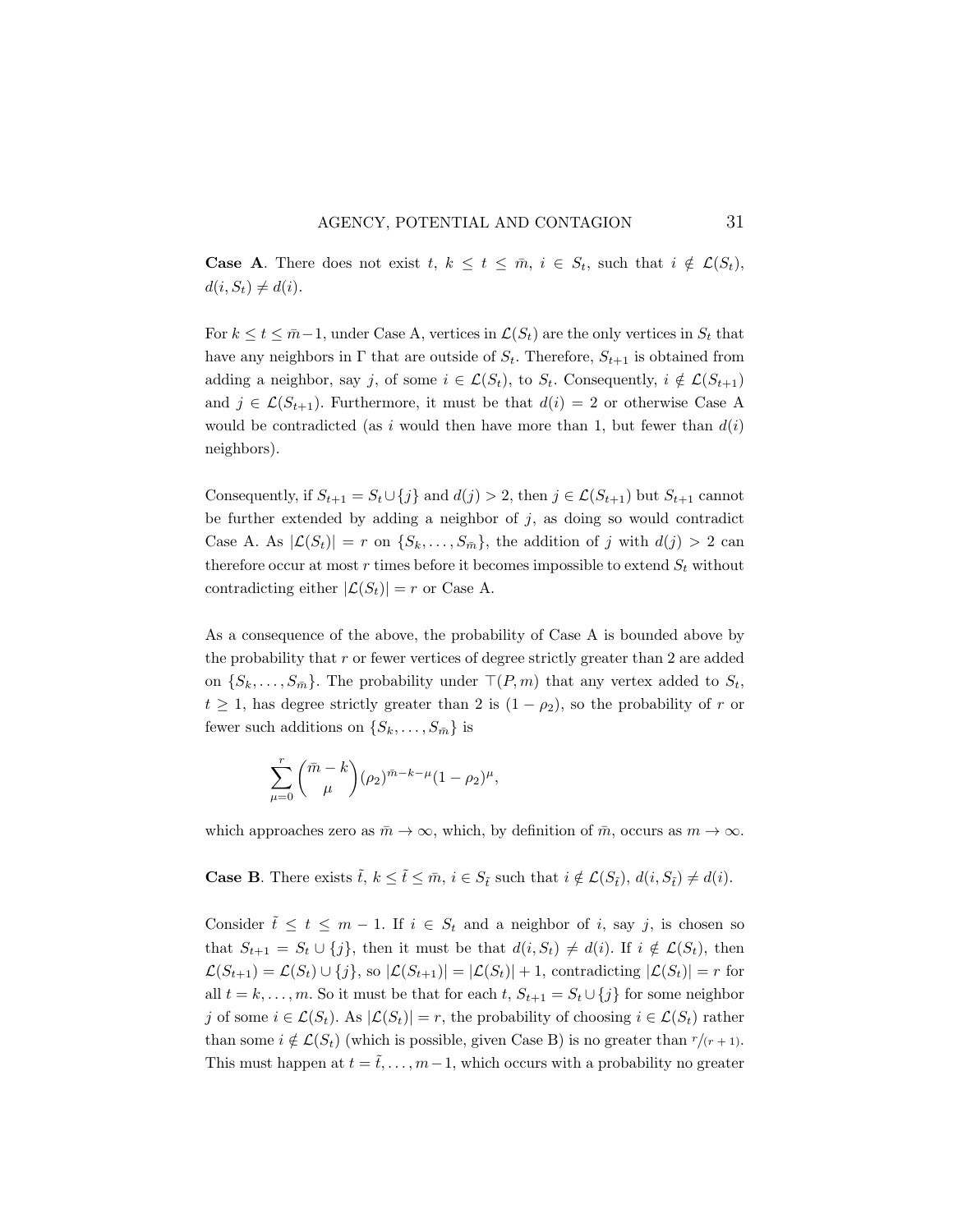**Case A**. There does not exist  $t, k \leq t \leq \overline{m}, i \in S_t$ , such that  $i \notin \mathcal{L}(S_t)$ ,  $d(i, S_t) \neq d(i).$ 

For  $k \le t \le \bar{m}-1$ , under Case A, vertices in  $\mathcal{L}(S_t)$  are the only vertices in  $S_t$  that have any neighbors in  $\Gamma$  that are outside of  $S_t$ . Therefore,  $S_{t+1}$  is obtained from adding a neighbor, say j, of some  $i \in \mathcal{L}(S_t)$ , to  $S_t$ . Consequently,  $i \notin \mathcal{L}(S_{t+1})$ and  $j \in \mathcal{L}(S_{t+1})$ . Furthermore, it must be that  $d(i) = 2$  or otherwise Case A would be contradicted (as i would then have more than 1, but fewer than  $d(i)$ neighbors).

Consequently, if  $S_{t+1} = S_t \cup \{j\}$  and  $d(j) > 2$ , then  $j \in \mathcal{L}(S_{t+1})$  but  $S_{t+1}$  cannot be further extended by adding a neighbor of  $j$ , as doing so would contradict Case A. As  $|\mathcal{L}(S_t)| = r$  on  $\{S_k, \ldots, S_{\bar{m}}\}\)$ , the addition of j with  $d(j) > 2$  can therefore occur at most  $r$  times before it becomes impossible to extend  $S_t$  without contradicting either  $|\mathcal{L}(S_t)| = r$  or Case A.

As a consequence of the above, the probability of Case A is bounded above by the probability that  $r$  or fewer vertices of degree strictly greater than  $2$  are added on  $\{S_k, \ldots, S_{\bar{m}}\}$ . The probability under  $\top(P, m)$  that any vertex added to  $S_t$ ,  $t \geq 1$ , has degree strictly greater than 2 is  $(1 - \rho_2)$ , so the probability of r or fewer such additions on  $\{S_k, \ldots, S_{\bar{m}}\}$  is

$$
\sum_{\mu=0}^{r} \binom{\bar{m}-k}{\mu} (\rho_2)^{\bar{m}-k-\mu} (1-\rho_2)^{\mu},
$$

which approaches zero as  $\bar{m} \to \infty$ , which, by definition of  $\bar{m}$ , occurs as  $m \to \infty$ .

**Case B**. There exists  $\tilde{t}$ ,  $k \leq \tilde{t} \leq \bar{m}$ ,  $i \in S_{\tilde{t}}$  such that  $i \notin \mathcal{L}(S_{\tilde{t}})$ ,  $d(i, S_{\tilde{t}}) \neq d(i)$ .

Consider  $\tilde{t} \leq t \leq m-1$ . If  $i \in S_t$  and a neighbor of i, say j, is chosen so that  $S_{t+1} = S_t \cup \{j\}$ , then it must be that  $d(i, S_t) \neq d(i)$ . If  $i \notin \mathcal{L}(S_t)$ , then  $\mathcal{L}(S_{t+1}) = \mathcal{L}(S_t) \cup \{j\},\$ so  $|\mathcal{L}(S_{t+1})| = |\mathcal{L}(S_t)| + 1$ , contradicting  $|\mathcal{L}(S_t)| = r$  for all  $t = k, \ldots, m$ . So it must be that for each  $t, S_{t+1} = S_t \cup \{j\}$  for some neighbor j of some  $i \in \mathcal{L}(S_t)$ . As  $|\mathcal{L}(S_t)| = r$ , the probability of choosing  $i \in \mathcal{L}(S_t)$  rather than some  $i \notin \mathcal{L}(S_t)$  (which is possible, given Case B) is no greater than  $r/(r+1)$ . This must happen at  $t = \tilde{t}, \ldots, m-1$ , which occurs with a probability no greater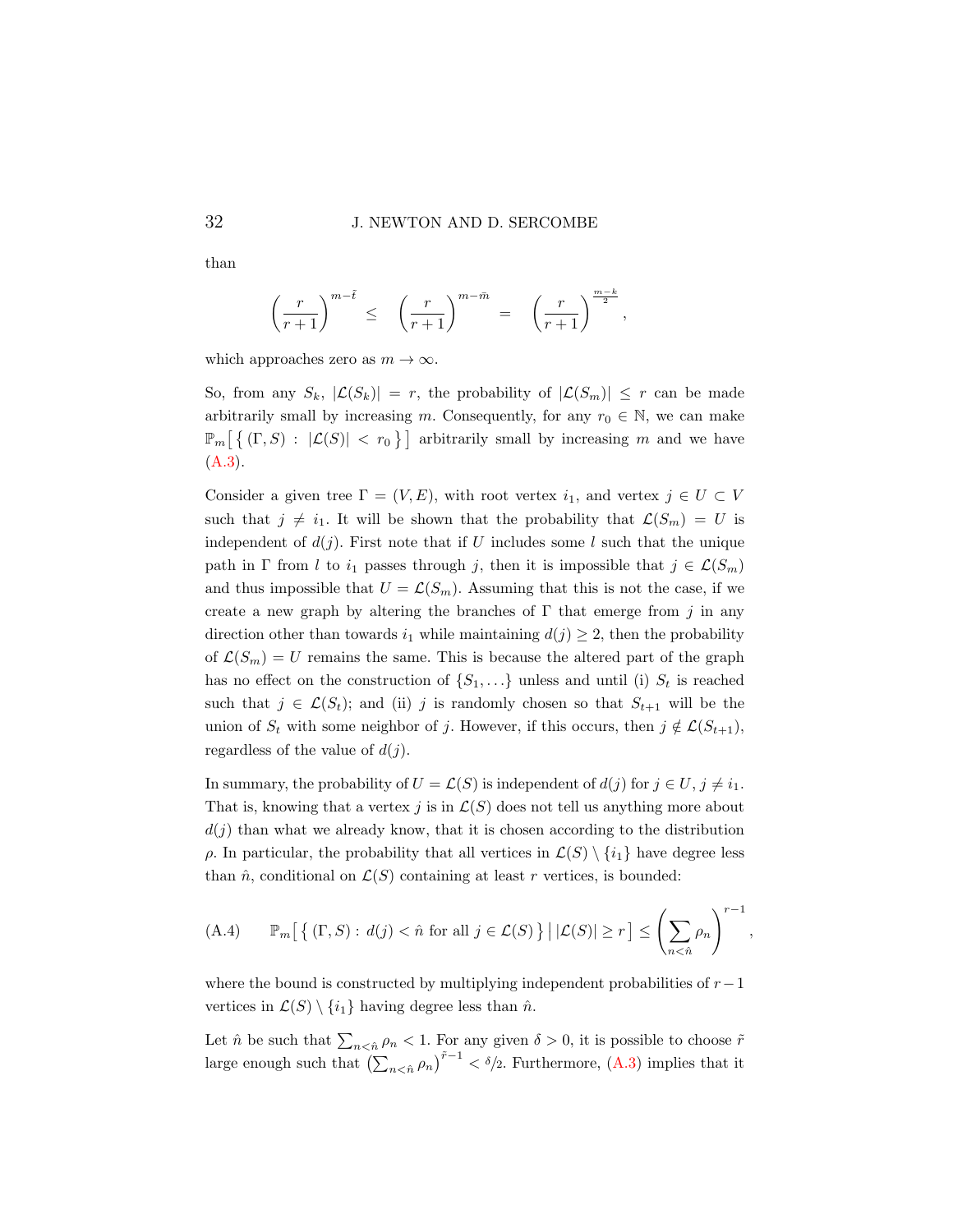$$
\left(\frac{r}{r+1}\right)^{m-\tilde t} \le \left(\frac{r}{r+1}\right)^{m-\bar m} = \left(\frac{r}{r+1}\right)^{\frac{m-k}{2}},
$$

which approaches zero as  $m \to \infty$ .

So, from any  $S_k$ ,  $|\mathcal{L}(S_k)| = r$ , the probability of  $|\mathcal{L}(S_m)| \leq r$  can be made arbitrarily small by increasing m. Consequently, for any  $r_0 \in \mathbb{N}$ , we can make  $\mathbb{P}_m\left[\{\left(\Gamma, S\right) : |\mathcal{L}(S)| < r_0\}\right]$  arbitrarily small by increasing m and we have [\(A.3\)](#page-29-0).

Consider a given tree  $\Gamma = (V, E)$ , with root vertex  $i_1$ , and vertex  $j \in U \subset V$ such that  $j \neq i_1$ . It will be shown that the probability that  $\mathcal{L}(S_m) = U$  is independent of  $d(j)$ . First note that if U includes some l such that the unique path in Γ from l to  $i_1$  passes through j, then it is impossible that  $j \in \mathcal{L}(S_m)$ and thus impossible that  $U = \mathcal{L}(S_m)$ . Assuming that this is not the case, if we create a new graph by altering the branches of  $\Gamma$  that emerge from j in any direction other than towards  $i_1$  while maintaining  $d(j) \geq 2$ , then the probability of  $\mathcal{L}(S_m) = U$  remains the same. This is because the altered part of the graph has no effect on the construction of  $\{S_1, \ldots\}$  unless and until (i)  $S_t$  is reached such that  $j \in \mathcal{L}(S_t)$ ; and (ii) j is randomly chosen so that  $S_{t+1}$  will be the union of  $S_t$  with some neighbor of j. However, if this occurs, then  $j \notin \mathcal{L}(S_{t+1}),$ regardless of the value of  $d(j)$ .

In summary, the probability of  $U = \mathcal{L}(S)$  is independent of  $d(j)$  for  $j \in U, j \neq i_1$ . That is, knowing that a vertex j is in  $\mathcal{L}(S)$  does not tell us anything more about  $d(j)$  than what we already know, that it is chosen according to the distribution ρ. In particular, the probability that all vertices in  $\mathcal{L}(S) \setminus \{i_1\}$  have degree less than  $\hat{n}$ , conditional on  $\mathcal{L}(S)$  containing at least r vertices, is bounded:

<span id="page-31-0"></span>(A.4) 
$$
\mathbb{P}_m\big[\left\{ (\Gamma, S) : d(j) < \hat{n} \text{ for all } j \in \mathcal{L}(S) \right\} \mid |\mathcal{L}(S)| \ge r \big] \le \left(\sum_{n \le \hat{n}} \rho_n\right)^{r-1},
$$

where the bound is constructed by multiplying independent probabilities of  $r-1$ vertices in  $\mathcal{L}(S) \setminus \{i_1\}$  having degree less than  $\hat{n}$ .

Let  $\hat{n}$  be such that  $\sum_{n \leq \hat{n}} \rho_n < 1$ . For any given  $\delta > 0$ , it is possible to choose  $\tilde{r}$ large enough such that  $\left(\sum_{n \leq \hat{n}} \rho_n\right)^{\tilde{r}-1} < \delta/2$ . Furthermore,  $(A.3)$  implies that it

than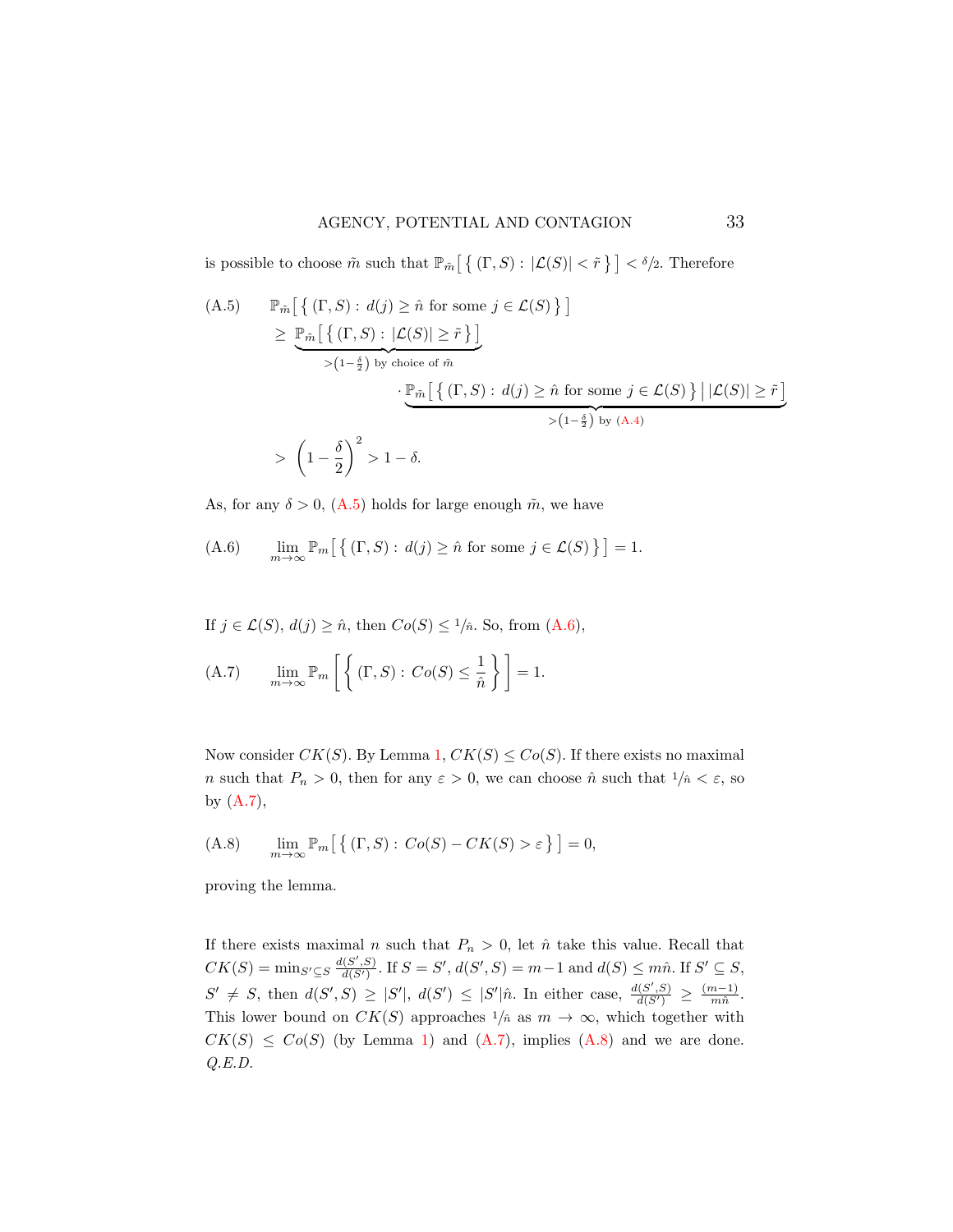is possible to choose  $\tilde{m}$  such that  $\mathbb{P}_{\tilde{m}}\left[\left\{ \left. (\Gamma,S\right): |\mathcal{L}(S)| < \tilde{r} \right\} \right] < \delta/2$ . Therefore

<span id="page-32-0"></span>(A.5) 
$$
\mathbb{P}_{\tilde{m}}\left[\left\{ (\Gamma, S) : d(j) \geq \hat{n} \text{ for some } j \in \mathcal{L}(S) \right\} \right]
$$

$$
\geq \underbrace{\mathbb{P}_{\tilde{m}}\left[\left\{ (\Gamma, S) : |\mathcal{L}(S)| \geq \tilde{r} \right\} \right]}_{>(1-\frac{\delta}{2}) \text{ by choice of } \tilde{m}}
$$

$$
\cdot \underbrace{\mathbb{P}_{\tilde{m}}\left[\left\{ (\Gamma, S) : d(j) \geq \hat{n} \text{ for some } j \in \mathcal{L}(S) \right\} \middle| |\mathcal{L}(S)| \geq \tilde{r} \right]}_{>(1-\frac{\delta}{2}) \text{ by } (A.4)}
$$

$$
> \left(1 - \frac{\delta}{2}\right)^2 > 1 - \delta.
$$

As, for any  $\delta > 0$ , [\(A.5\)](#page-32-0) holds for large enough  $\tilde{m}$ , we have

<span id="page-32-1"></span>(A.6) 
$$
\lim_{m \to \infty} \mathbb{P}_m \left[ \left\{ (\Gamma, S) : d(j) \ge \hat{n} \text{ for some } j \in \mathcal{L}(S) \right\} \right] = 1.
$$

If 
$$
j \in \mathcal{L}(S)
$$
,  $d(j) \geq \hat{n}$ , then  $Co(S) \leq 1/\hat{n}$ . So, from  $(A.6)$ ,

<span id="page-32-2"></span>(A.7) 
$$
\lim_{m \to \infty} \mathbb{P}_m \left[ \left\{ (\Gamma, S) : Co(S) \leq \frac{1}{\hat{n}} \right\} \right] = 1.
$$

Now consider  $CK(S)$ . By Lemma [1,](#page-10-1)  $CK(S) \leq Co(S)$ . If there exists no maximal n such that  $P_n > 0$ , then for any  $\varepsilon > 0$ , we can choose  $\hat{n}$  such that  $1/\hat{n} < \varepsilon$ , so by [\(A.7\)](#page-32-2),

<span id="page-32-3"></span>(A.8) 
$$
\lim_{m \to \infty} \mathbb{P}_m \big[ \big\{ (\Gamma, S) : Co(S) - CK(S) > \varepsilon \big\} \big] = 0,
$$

proving the lemma.

If there exists maximal *n* such that  $P_n > 0$ , let  $\hat{n}$  take this value. Recall that  $CK(S) = \min_{S' \subseteq S} \frac{d(S',S)}{d(S')}$ . If  $S = S'$ ,  $d(S',S) = m-1$  and  $d(S) \leq m\hat{n}$ . If  $S' \subseteq S$ ,  $S' \neq S$ , then  $d(S', S) \geq |S'|$ ,  $d(S') \leq |S'| \hat{n}$ . In either case,  $\frac{d(S', S)}{d(S')} \geq \frac{(m-1)}{m \hat{n}}$  $\frac{n-1)}{m\hat{n}}.$ This lower bound on  $CK(S)$  approaches  $1/\hat{n}$  as  $m \to \infty$ , which together with  $CK(S) \leq Co(S)$  (by Lemma [1\)](#page-10-1) and  $(A.7)$ , implies  $(A.8)$  and we are done. Q.E.D.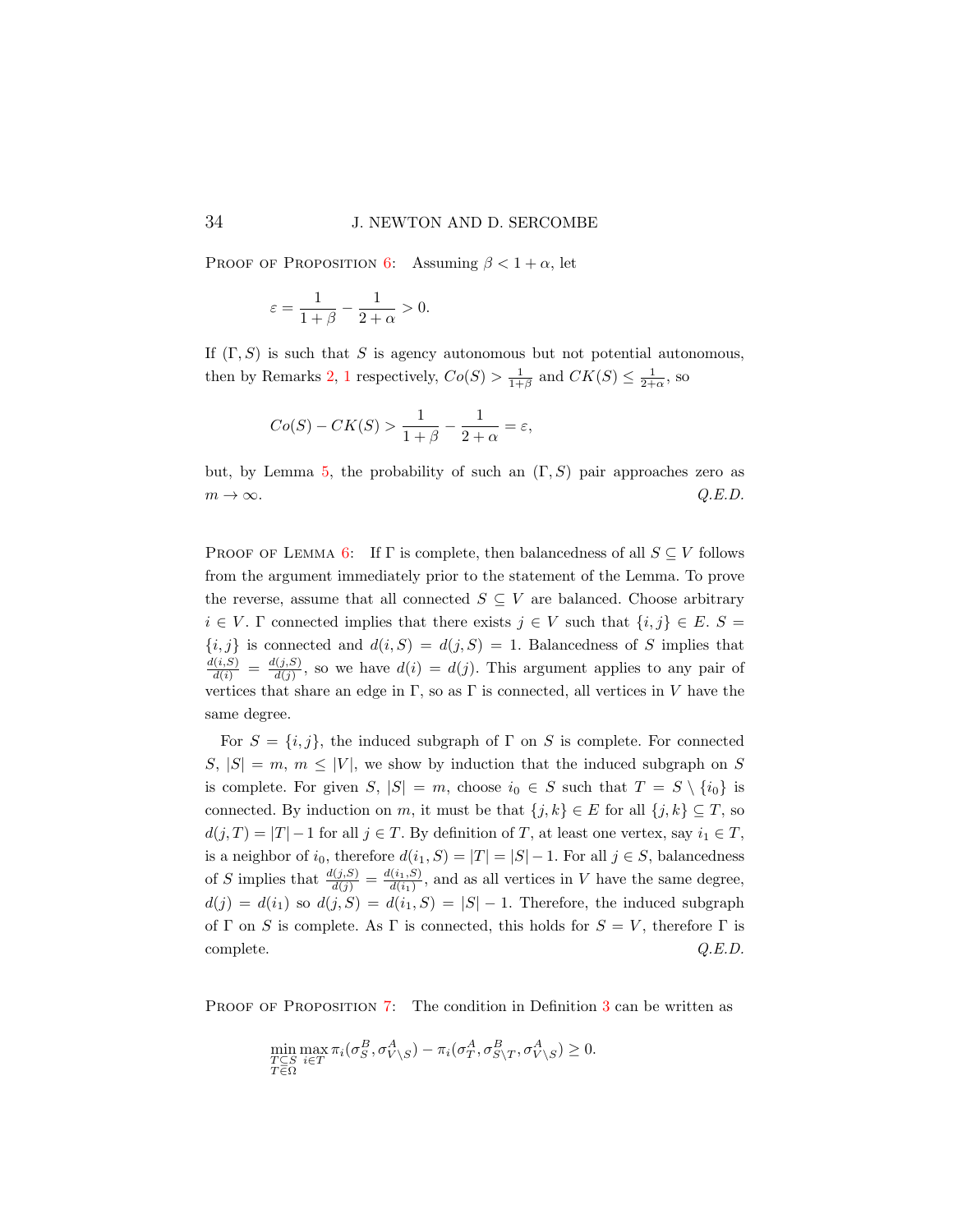PROOF OF PROPOSITION [6:](#page-20-1) Assuming  $\beta < 1 + \alpha$ , let

$$
\varepsilon = \frac{1}{1+\beta} - \frac{1}{2+\alpha} > 0.
$$

If  $(\Gamma, S)$  is such that S is agency autonomous but not potential autonomous, then by Remarks [2,](#page-9-0) [1](#page-8-0) respectively,  $Co(S) > \frac{1}{1+\beta}$  and  $CK(S) \leq \frac{1}{2+\alpha}$ , so

$$
Co(S) - CK(S) > \frac{1}{1+\beta} - \frac{1}{2+\alpha} = \varepsilon,
$$

but, by Lemma [5,](#page-20-0) the probability of such an  $(\Gamma, S)$  pair approaches zero as  $m \to \infty$ .  $Q.E.D.$ 

PROOF OF LEMMA [6:](#page-21-1) If  $\Gamma$  is complete, then balancedness of all  $S \subseteq V$  follows from the argument immediately prior to the statement of the Lemma. To prove the reverse, assume that all connected  $S \subseteq V$  are balanced. Choose arbitrary  $i \in V$ . Γ connected implies that there exists  $j \in V$  such that  $\{i, j\} \in E$ .  $S =$  ${i, j}$  is connected and  $d(i, S) = d(j, S) = 1$ . Balancedness of S implies that  $\frac{d(i, S)}{d(i)} = \frac{d(j, S)}{d(j)}$  $\frac{d(j,S)}{d(j)}$ , so we have  $d(i) = d(j)$ . This argument applies to any pair of vertices that share an edge in  $\Gamma$ , so as  $\Gamma$  is connected, all vertices in V have the same degree.

For  $S = \{i, j\}$ , the induced subgraph of  $\Gamma$  on S is complete. For connected  $S, |S| = m, m \leq |V|$ , we show by induction that the induced subgraph on S is complete. For given S,  $|S| = m$ , choose  $i_0 \in S$  such that  $T = S \setminus \{i_0\}$  is connected. By induction on m, it must be that  $\{j, k\} \in E$  for all  $\{j, k\} \subseteq T$ , so  $d(j,T) = |T| - 1$  for all  $j \in T$ . By definition of T, at least one vertex, say  $i_1 \in T$ , is a neighbor of  $i_0$ , therefore  $d(i_1, S) = |T| = |S| - 1$ . For all  $j \in S$ , balancedness of S implies that  $\frac{d(j,S)}{d(j)} = \frac{d(i_1,S)}{d(i_1)}$  $\frac{(i_1, S)}{d(i_1)}$ , and as all vertices in V have the same degree,  $d(j) = d(i_1)$  so  $d(j, S) = d(i_1, S) = |S| - 1$ . Therefore, the induced subgraph of Γ on S is complete. As Γ is connected, this holds for  $S = V$ , therefore Γ is complete.  $Q.E.D.$ 

PROOF OF PROPOSITION [7:](#page-22-0) The condition in Definition [3](#page-21-2) can be written as

$$
\min_{\substack{T \subseteq S \\ T \in \Omega}} \max_{i \in T} \pi_i(\sigma_S^B, \sigma_{V \setminus S}^A) - \pi_i(\sigma_T^A, \sigma_{S \setminus T}^B, \sigma_{V \setminus S}^A) \ge 0.
$$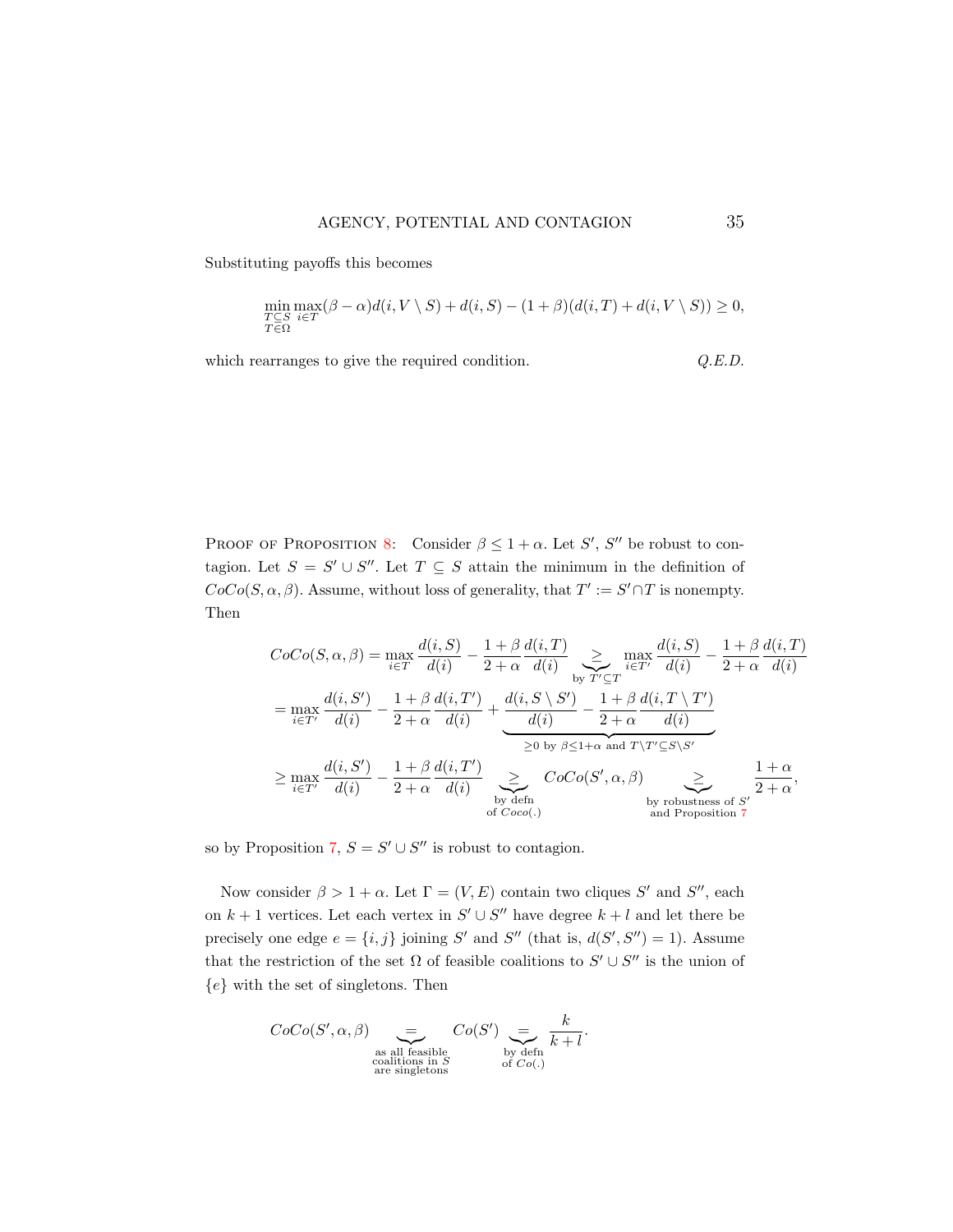Substituting payoffs this becomes

$$
\min_{\substack{T \subseteq S \\ T \in \Omega}} \max_{i \in T} (\beta - \alpha) d(i, V \setminus S) + d(i, S) - (1 + \beta) (d(i, T) + d(i, V \setminus S)) \ge 0,
$$

which rearranges to give the required condition.  $Q.E.D.$ 

PROOF OF PROPOSITION [8:](#page-23-1) Consider  $\beta \leq 1 + \alpha$ . Let S', S'' be robust to contagion. Let  $S = S' \cup S''$ . Let  $T \subseteq S$  attain the minimum in the definition of  $CoCo(S, \alpha, \beta)$ . Assume, without loss of generality, that  $T' := S' \cap T$  is nonempty. Then

$$
CoCo(S, \alpha, \beta) = \max_{i \in T} \frac{d(i, S)}{d(i)} - \frac{1 + \beta}{2 + \alpha} \frac{d(i, T)}{d(i)} \sum_{\substack{b: T' \subseteq T \\ b \text{ if } T' \subseteq T'}} \frac{d(i, S)}{d(i)} - \frac{1 + \beta}{2 + \alpha} \frac{d(i, T)}{d(i)} \sum_{\substack{b: T' \subseteq T \\ d(i) \neq 0}} \frac{d(i, S')}{d(i)} - \frac{1 + \beta}{2 + \alpha} \frac{d(i, T')}{d(i)} \sum_{\substack{b: T' \subseteq T \\ b \text{ if } B \neq 0}} \frac{d(i, T')}{d(i)} - \frac{1 + \beta}{2 + \alpha} \frac{d(i, T')}{d(i)} \sum_{\substack{b: D \text{ if } b \text{ if } B \neq 0}} \frac{d(i, T \setminus T')}{d(i)} \sum_{\substack{b: D \text{ if } b \text{ if } B \neq 0}} \frac{d(i, T \setminus T')}{d(i)} \sum_{\substack{b: D \text{ if } b \text{ if } B \neq 0}} \frac{d(i, T \setminus T')}{d(i)} \sum_{\substack{b: D \text{ if } b \text{ if } B \neq 0}} \frac{d(i, T \setminus T')}{d(i)} \sum_{\substack{b: D \text{ if } b \text{ if } B \neq 0}} \frac{d(i, T \setminus T')}{d(i)} \sum_{\substack{b: D \text{ if } b \text{ if } B \neq 0}} \frac{d(i, T \setminus T')}{d(i)} \sum_{\substack{b: D \text{ if } B \neq 0}} \frac{d(i, T \setminus T')}{d(i)} \sum_{\substack{b: D \text{ if } B \neq 0}} \frac{d(i, T \setminus T')}{d(i)} \sum_{\substack{b: D \text{ if } b \text{ if } B \neq 0}} \frac{d(i, T \setminus T')}{d(i)} \sum_{\substack{b: D \text{ if } B \neq 0}} \frac{d(i, T \setminus T')}{d(i)} \sum_{\substack{b: D \text{ if } B \neq 0}} \frac{d(i, T \setminus T')}{d(i)} \sum_{\substack{b: D \text{ if } B \neq 0}} \frac{d(i, T \setminus T')}{d(i)} \sum_{\substack{b: D \
$$

so by Proposition [7,](#page-22-0)  $S = S' \cup S''$  is robust to contagion.

Now consider  $\beta > 1 + \alpha$ . Let  $\Gamma = (V, E)$  contain two cliques S' and S'', each on  $k + 1$  vertices. Let each vertex in  $S' \cup S''$  have degree  $k + l$  and let there be precisely one edge  $e = \{i, j\}$  joining S' and S'' (that is,  $d(S', S'') = 1$ ). Assume that the restriction of the set  $\Omega$  of feasible coalitions to  $S' \cup S''$  is the union of  ${e}$  with the set of singletons. Then

$$
CoCo(S', \alpha, \beta) \underset{\substack{\text{as all feasible} \\ \text{caalitions in } S \\ \text{are singletons}}}^{\text{as all feasible}} Co(S') \underset{\substack{\text{by defn} \\ \text{of } Co(.)}}{\underbrace{=}} \frac{k}{k+l}.
$$